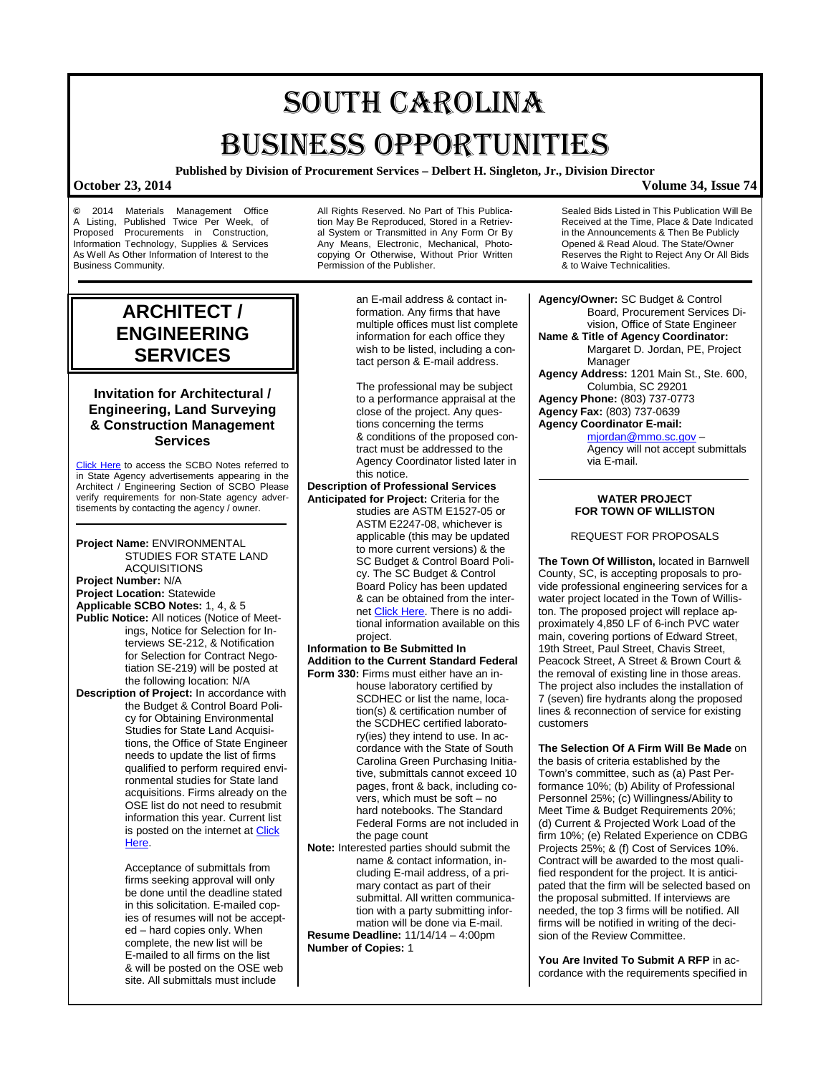# SOUTH CAROLINA BUSINESS OPPORTUNITIES

**Published by Division of Procurement Services – Delbert H. Singleton, Jr., Division Director**

## **October 23, 2014 Volume 34, Issue 74**

**©** 2014 Materials Management Office A Listing, Published Twice Per Week, of Proposed Procurements in Construction, Information Technology, Supplies & Services As Well As Other Information of Interest to the Business Community.

All Rights Reserved. No Part of This Publication May Be Reproduced, Stored in a Retrieval System or Transmitted in Any Form Or By Any Means, Electronic, Mechanical, Photocopying Or Otherwise, Without Prior Written Permission of the Publisher.

## **ARCHITECT / ENGINEERING SERVICES**

## **Invitation for Architectural / Engineering, Land Surveying & Construction Management Services**

[Click Here](http://www.mmo.sc.gov/PS/general/scbo/SCBO_Notes_060512.pdf) to access the SCBO Notes referred to in State Agency advertisements appearing in the Architect / Engineering Section of SCBO Please verify requirements for non-State agency advertisements by contacting the agency / owner.

**Project Name:** ENVIRONMENTAL STUDIES FOR STATE LAND ACQUISITIONS **Project Number:** N/A **Project Location:** Statewide **Applicable SCBO Notes:** 1, 4, & 5 **Public Notice:** All notices (Notice of Meetings, Notice for Selection for Interviews SE-212, & Notification for Selection for Contract Negotiation SE-219) will be posted at the following location: N/A **Description of Project:** In accordance with the Budget & Control Board Policy for Obtaining Environmental Studies for State Land Acquisitions, the Office of State Engineer needs to update the list of firms qualified to perform required environmental studies for State land acquisitions. Firms already on the OSE list do not need to resubmit information this year. Current list is posted on the internet a[t Click](http://procurement.sc.gov/webfiles/OSE_main/Inspections/2013_Firms_Qualified_to_Perform_Environmental_Studies_for_Land_Acquisitions.pdf)  [Here.](http://procurement.sc.gov/webfiles/OSE_main/Inspections/2013_Firms_Qualified_to_Perform_Environmental_Studies_for_Land_Acquisitions.pdf)

> Acceptance of submittals from firms seeking approval will only be done until the deadline stated in this solicitation. E-mailed copies of resumes will not be accepted – hard copies only. When complete, the new list will be E-mailed to all firms on the list & will be posted on the OSE web site. All submittals must include

an E-mail address & contact information. Any firms that have multiple offices must list complete information for each office they wish to be listed, including a contact person & E-mail address.

The professional may be subject to a performance appraisal at the close of the project. Any questions concerning the terms & conditions of the proposed contract must be addressed to the Agency Coordinator listed later in this notice.

**Description of Professional Services Anticipated for Project:** Criteria for the

studies are ASTM E1527-05 or ASTM E2247-08, whichever is applicable (this may be updated to more current versions) & the SC Budget & Control Board Policy. The SC Budget & Control Board Policy has been updated & can be obtained from the inter-net [Click Here.](http://procurement.sc.gov/webfiles/OSE_main/Inspections/Policy97-rev2010.pdf) There is no additional information available on this project.

**Information to Be Submitted In Addition to the Current Standard Federal Form 330:** Firms must either have an in-

house laboratory certified by SCDHEC or list the name, location(s) & certification number of the SCDHEC certified laboratory(ies) they intend to use. In accordance with the State of South Carolina Green Purchasing Initiative, submittals cannot exceed 10 pages, front & back, including covers, which must be soft – no hard notebooks. The Standard Federal Forms are not included in the page count

**Note:** Interested parties should submit the name & contact information, including E-mail address, of a primary contact as part of their submittal. All written communication with a party submitting information will be done via E-mail.

**Resume Deadline:** 11/14/14 – 4:00pm **Number of Copies:** 1

Sealed Bids Listed in This Publication Will Be Received at the Time, Place & Date Indicated in the Announcements & Then Be Publicly Opened & Read Aloud. The State/Owner Reserves the Right to Reject Any Or All Bids & to Waive Technicalities.

**Agency/Owner:** SC Budget & Control Board, Procurement Services Division, Office of State Engineer **Name & Title of Agency Coordinator:** Margaret D. Jordan, PE, Project Manager **Agency Address:** 1201 Main St., Ste. 600, Columbia, SC 29201 **Agency Phone:** (803) 737-0773 **Agency Fax:** (803) 737-0639 **Agency Coordinator E-mail:** [mjordan@mmo.sc.gov](mailto:mjordan@mmo.sc.gov) –

Agency will not accept submittals via E-mail.

### **WATER PROJECT FOR TOWN OF WILLISTON**

REQUEST FOR PROPOSALS

**The Town Of Williston,** located in Barnwell County, SC, is accepting proposals to provide professional engineering services for a water project located in the Town of Williston. The proposed project will replace approximately 4,850 LF of 6-inch PVC water main, covering portions of Edward Street, 19th Street, Paul Street, Chavis Street, Peacock Street, A Street & Brown Court & the removal of existing line in those areas. The project also includes the installation of 7 (seven) fire hydrants along the proposed lines & reconnection of service for existing customers

**The Selection Of A Firm Will Be Made** on the basis of criteria established by the Town's committee, such as (a) Past Performance 10%; (b) Ability of Professional Personnel 25%; (c) Willingness/Ability to Meet Time & Budget Requirements 20%; (d) Current & Projected Work Load of the firm 10%; (e) Related Experience on CDBG Projects 25%; & (f) Cost of Services 10%. Contract will be awarded to the most qualified respondent for the project. It is anticipated that the firm will be selected based on the proposal submitted. If interviews are needed, the top 3 firms will be notified. All firms will be notified in writing of the decision of the Review Committee.

**You Are Invited To Submit A RFP** in accordance with the requirements specified in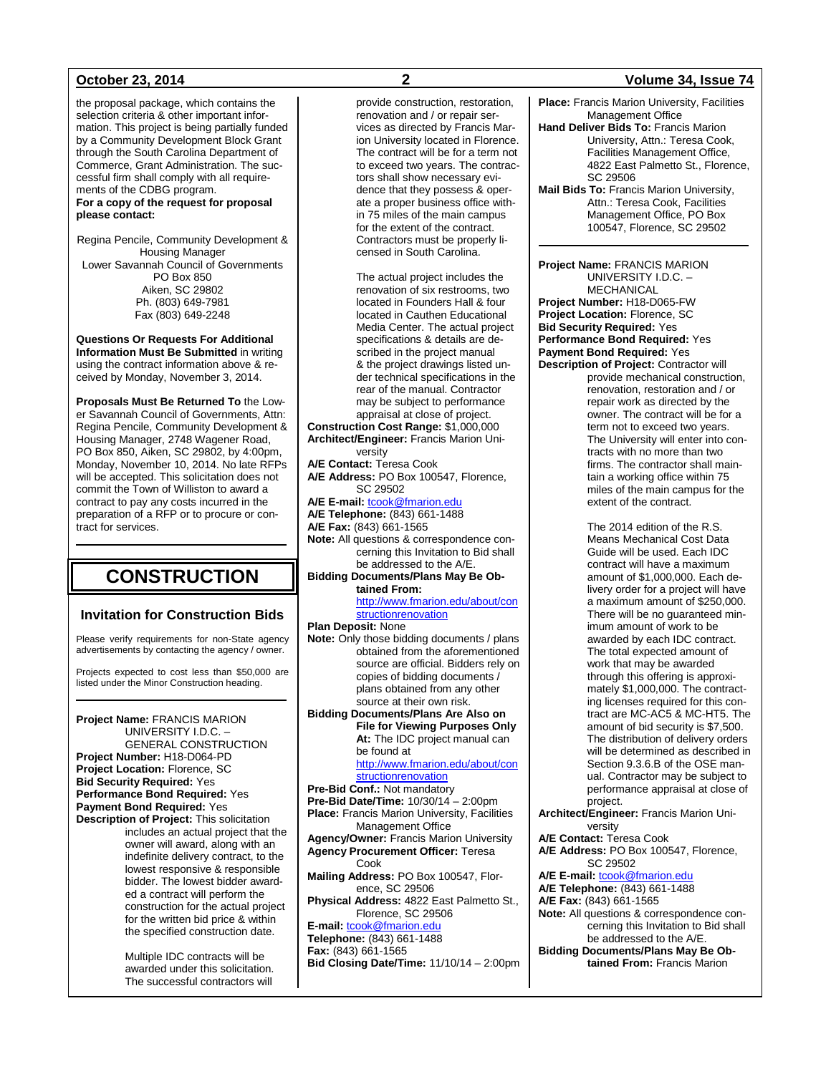the proposal package, which contains the selection criteria & other important information. This project is being partially funded by a Community Development Block Grant through the South Carolina Department of Commerce, Grant Administration. The successful firm shall comply with all requirements of the CDBG program. **For a copy of the request for proposal please contact:**

Regina Pencile, Community Development & Housing Manager Lower Savannah Council of Governments PO Box 850 Aiken, SC 29802 Ph. (803) 649-7981 Fax (803) 649-2248

**Questions Or Requests For Additional Information Must Be Submitted** in writing using the contract information above & received by Monday, November 3, 2014.

**Proposals Must Be Returned To** the Lower Savannah Council of Governments, Attn: Regina Pencile, Community Development & Housing Manager, 2748 Wagener Road, PO Box 850, Aiken, SC 29802, by 4:00pm, Monday, November 10, 2014. No late RFPs will be accepted. This solicitation does not commit the Town of Williston to award a contract to pay any costs incurred in the preparation of a RFP or to procure or contract for services.

## **CONSTRUCTION**

### **Invitation for Construction Bids**

Please verify requirements for non-State agency advertisements by contacting the agency / owner.

Projects expected to cost less than \$50,000 are listed under the Minor Construction heading.

**Project Name:** FRANCIS MARION UNIVERSITY I.D.C. – GENERAL CONSTRUCTION **Project Number:** H18-D064-PD **Project Location:** Florence, SC **Bid Security Required:** Yes **Performance Bond Required:** Yes **Payment Bond Required:** Yes **Description of Project:** This solicitation

includes an actual project that the owner will award, along with an indefinite delivery contract, to the lowest responsive & responsible bidder. The lowest bidder awarded a contract will perform the construction for the actual project for the written bid price & within the specified construction date.

Multiple IDC contracts will be awarded under this solicitation. The successful contractors will

provide construction, restoration, renovation and / or repair services as directed by Francis Marion University located in Florence. The contract will be for a term not to exceed two years. The contractors shall show necessary evidence that they possess & operate a proper business office within 75 miles of the main campus for the extent of the contract. Contractors must be properly licensed in South Carolina.

The actual project includes the renovation of six restrooms, two located in Founders Hall & four located in Cauthen Educational Media Center. The actual project specifications & details are described in the project manual & the project drawings listed under technical specifications in the rear of the manual. Contractor may be subject to performance appraisal at close of project. **Construction Cost Range:** \$1,000,000

**Architect/Engineer:** Francis Marion University

**A/E Contact:** Teresa Cook **A/E Address:** PO Box 100547, Florence, SC 29502 **A/E E-mail:** [tcook@fmarion.edu](mailto:tcook@fmarion.edu)

**A/E Telephone:** (843) 661-1488

**A/E Fax:** (843) 661-1565

**Note:** All questions & correspondence concerning this Invitation to Bid shall be addressed to the A/E.

**Bidding Documents/Plans May Be Obtained From:**

[http://www.fmarion.edu/about/con](http://www.fmarion.edu/about/constructionrenovation) [structionrenovation](http://www.fmarion.edu/about/constructionrenovation)

**Plan Deposit:** None

**Note:** Only those bidding documents / plans obtained from the aforementioned source are official. Bidders rely on copies of bidding documents / plans obtained from any other source at their own risk.

**Bidding Documents/Plans Are Also on File for Viewing Purposes Only At:** The IDC project manual can be found at

[http://www.fmarion.edu/about/con](http://www.fmarion.edu/about/constructionrenovation) [structionrenovation](http://www.fmarion.edu/about/constructionrenovation)

**Pre-Bid Conf.:** Not mandatory

**Pre-Bid Date/Time:** 10/30/14 – 2:00pm **Place:** Francis Marion University, Facilities Management Office

**Agency/Owner:** Francis Marion University **Agency Procurement Officer:** Teresa Cook

**Mailing Address:** PO Box 100547, Florence, SC 29506

**Physical Address:** 4822 East Palmetto St., Florence, SC 29506

**E-mail:** [tcook@fmarion.edu](mailto:tcook@fmarion.edu) **Telephone:** (843) 661-1488 **Fax:** (843) 661-1565 **Bid Closing Date/Time:** 11/10/14 – 2:00pm

### **October 23, 2014 2 Volume 34, Issue 74**

- **Place:** Francis Marion University, Facilities Management Office
- **Hand Deliver Bids To:** Francis Marion University, Attn.: Teresa Cook, Facilities Management Office, 4822 East Palmetto St., Florence, SC 29506
- **Mail Bids To:** Francis Marion University, Attn.: Teresa Cook, Facilities Management Office, PO Box 100547, Florence, SC 29502

**Project Name:** FRANCIS MARION UNIVERSITY I.D.C. – MECHANICAL **Project Number:** H18-D065-FW **Project Location:** Florence, SC **Bid Security Required:** Yes **Performance Bond Required:** Yes **Payment Bond Required:** Yes

**Description of Project:** Contractor will provide mechanical construction, renovation, restoration and / or repair work as directed by the owner. The contract will be for a term not to exceed two years. The University will enter into contracts with no more than two firms. The contractor shall maintain a working office within 75 miles of the main campus for the extent of the contract.

> The 2014 edition of the R.S. Means Mechanical Cost Data Guide will be used. Each IDC contract will have a maximum amount of \$1,000,000. Each delivery order for a project will have a maximum amount of \$250,000. There will be no guaranteed minimum amount of work to be awarded by each IDC contract. The total expected amount of work that may be awarded through this offering is approximately \$1,000,000. The contracting licenses required for this contract are MC-AC5 & MC-HT5. The amount of bid security is \$7,500. The distribution of delivery orders will be determined as described in Section 9.3.6.B of the OSE manual. Contractor may be subject to performance appraisal at close of project.

**Architect/Engineer:** Francis Marion University **A/E Contact:** Teresa Cook

**A/E Address:** PO Box 100547, Florence,

SC 29502

**A/E E-mail: [tcook@fmarion.edu](mailto:tcook@fmarion.edu) A/E Telephone:** (843) 661-1488

**A/E Fax:** (843) 661-1565

**Note:** All questions & correspondence concerning this Invitation to Bid shall be addressed to the A/E.

**Bidding Documents/Plans May Be Obtained From:** Francis Marion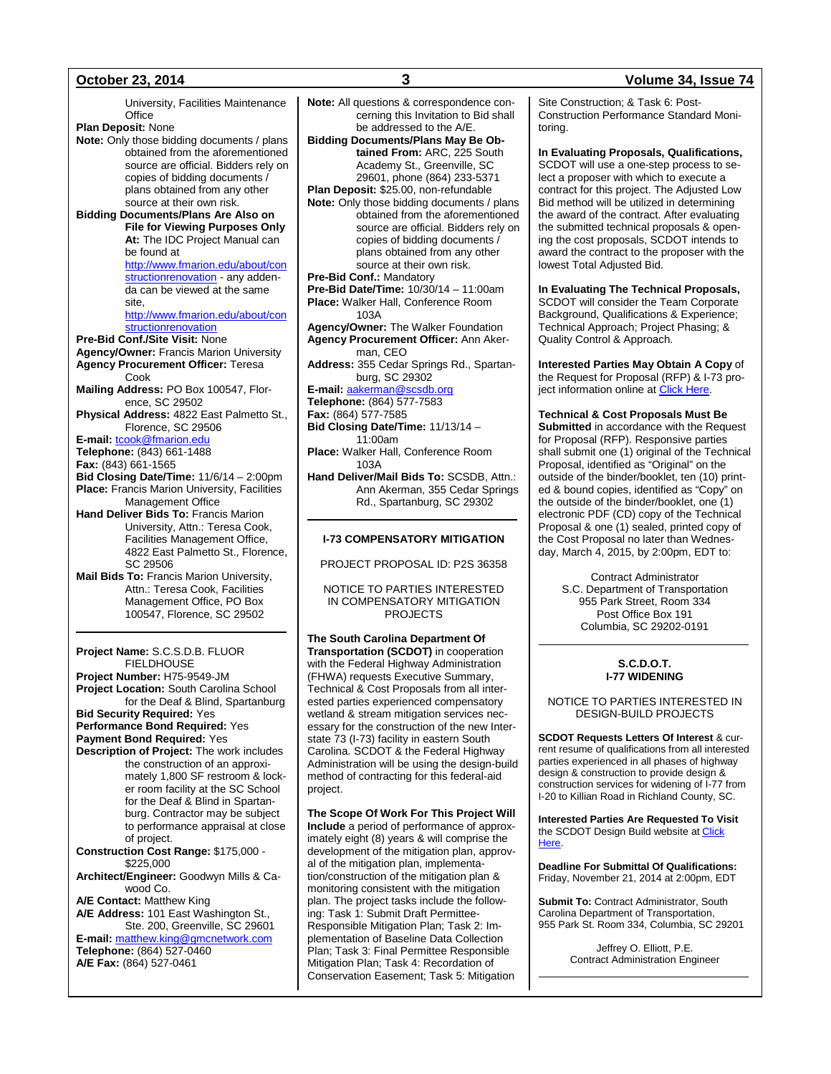University, Facilities Maintenance **Office Plan Deposit:** None **Note:** Only those bidding documents / plans obtained from the aforementioned source are official. Bidders rely on copies of bidding documents / plans obtained from any other source at their own risk. **Bidding Documents/Plans Are Also on File for Viewing Purposes Only At:** The IDC Project Manual can be found at [http://www.fmarion.edu/about/con](http://www.fmarion.edu/about/constructionrenovation) [structionrenovation](http://www.fmarion.edu/about/constructionrenovation) - any addenda can be viewed at the same site, [http://www.fmarion.edu/about/con](http://www.fmarion.edu/about/constructionrenovation) [structionrenovation](http://www.fmarion.edu/about/constructionrenovation) **Pre-Bid Conf./Site Visit:** None **Agency/Owner:** Francis Marion University **Agency Procurement Officer:** Teresa Cook **Mailing Address:** PO Box 100547, Florence, SC 29502 **Physical Address:** 4822 East Palmetto St., Florence, SC 29506 **E-mail:** [tcook@fmarion.edu](mailto:tcook@fmarion.edu) **Telephone:** (843) 661-1488 **Fax:** (843) 661-1565 **Bid Closing Date/Time:** 11/6/14 – 2:00pm **Place:** Francis Marion University, Facilities Management Office **Hand Deliver Bids To:** Francis Marion University, Attn.: Teresa Cook, Facilities Management Office, 4822 East Palmetto St., Florence, SC 29506 **Mail Bids To:** Francis Marion University,

Attn.: Teresa Cook, Facilities Management Office, PO Box 100547, Florence, SC 29502

**Project Name:** S.C.S.D.B. FLUOR FIELDHOUSE **Project Number:** H75-9549-JM **Project Location:** South Carolina School for the Deaf & Blind, Spartanburg **Bid Security Required:** Yes **Performance Bond Required:** Yes **Payment Bond Required:** Yes **Description of Project:** The work includes the construction of an approximately 1,800 SF restroom & locker room facility at the SC School for the Deaf & Blind in Spartanburg. Contractor may be subject to performance appraisal at close of project. **Construction Cost Range:** \$175,000 - \$225,000 **Architect/Engineer:** Goodwyn Mills & Cawood Co. **A/E Contact:** Matthew King **A/E Address:** 101 East Washington St., Ste. 200, Greenville, SC 29601 **E-mail:** [matthew.king@gmcnetwork.com](mailto:matthew.king@gmcnetwork.com) **Telephone:** (864) 527-0460 **A/E Fax:** (864) 527-0461

**Note:** All questions & correspondence concerning this Invitation to Bid shall be addressed to the A/E. **Bidding Documents/Plans May Be Obtained From:** ARC, 225 South Academy St., Greenville, SC 29601, phone (864) 233-5371 **Plan Deposit:** \$25.00, non-refundable **Note:** Only those bidding documents / plans obtained from the aforementioned source are official. Bidders rely on copies of bidding documents / plans obtained from any other source at their own risk. **Pre-Bid Conf.:** Mandatory **Pre-Bid Date/Time:** 10/30/14 – 11:00am **Place:** Walker Hall, Conference Room 103A **Agency/Owner:** The Walker Foundation **Agency Procurement Officer:** Ann Akerman, CEO **Address:** 355 Cedar Springs Rd., Spartanburg, SC 29302 **E-mail:** [aakerman@scsdb.org](mailto:aakerman@scsdb.org) **Telephone:** (864) 577-7583 **Fax:** (864) 577-7585 **Bid Closing Date/Time:** 11/13/14 – 11:00am **Place:** Walker Hall, Conference Room 103A **Hand Deliver/Mail Bids To:** SCSDB, Attn.: Ann Akerman, 355 Cedar Springs Rd., Spartanburg, SC 29302

### **I-73 COMPENSATORY MITIGATION**

PROJECT PROPOSAL ID: P2S 36358

NOTICE TO PARTIES INTERESTED IN COMPENSATORY MITIGATION PROJECTS

**The South Carolina Department Of Transportation (SCDOT)** in cooperation with the Federal Highway Administration (FHWA) requests Executive Summary, Technical & Cost Proposals from all interested parties experienced compensatory wetland & stream mitigation services necessary for the construction of the new Interstate 73 (I-73) facility in eastern South Carolina. SCDOT & the Federal Highway Administration will be using the design-build method of contracting for this federal-aid project.

**The Scope Of Work For This Project Will Include** a period of performance of approximately eight (8) years & will comprise the development of the mitigation plan, approval of the mitigation plan, implementation/construction of the mitigation plan & monitoring consistent with the mitigation plan. The project tasks include the following: Task 1: Submit Draft Permittee-Responsible Mitigation Plan; Task 2: Implementation of Baseline Data Collection Plan; Task 3: Final Permittee Responsible Mitigation Plan; Task 4: Recordation of Conservation Easement; Task 5: Mitigation

### Site Construction; & Task 6: Post-Construction Performance Standard Monitoring.

**In Evaluating Proposals, Qualifications,** SCDOT will use a one-step process to select a proposer with which to execute a contract for this project. The Adjusted Low Bid method will be utilized in determining the award of the contract. After evaluating the submitted technical proposals & opening the cost proposals, SCDOT intends to award the contract to the proposer with the lowest Total Adjusted Bid.

**In Evaluating The Technical Proposals,** SCDOT will consider the Team Corporate Background, Qualifications & Experience; Technical Approach; Project Phasing; & Quality Control & Approach.

**Interested Parties May Obtain A Copy** of the Request for Proposal (RFP) & I-73 project information online at [Click Here.](http://www.dot.state.sc.us/doing/constructionletting_designbuild.aspx)

**Technical & Cost Proposals Must Be** 

**Submitted** in accordance with the Request for Proposal (RFP). Responsive parties shall submit one (1) original of the Technical Proposal, identified as "Original" on the outside of the binder/booklet, ten (10) printed & bound copies, identified as "Copy" on the outside of the binder/booklet, one (1) electronic PDF (CD) copy of the Technical Proposal & one (1) sealed, printed copy of the Cost Proposal no later than Wednesday, March 4, 2015, by 2:00pm, EDT to:

> Contract Administrator S.C. Department of Transportation 955 Park Street, Room 334 Post Office Box 191 Columbia, SC 29202-0191

### **S.C.D.O.T. I-77 WIDENING**

NOTICE TO PARTIES INTERESTED IN DESIGN-BUILD PROJECTS

**SCDOT Requests Letters Of Interest** & current resume of qualifications from all interested parties experienced in all phases of highway design & construction to provide design & construction services for widening of I-77 from I-20 to Killian Road in Richland County, SC.

**Interested Parties Are Requested To Visit** the SCDOT Design Build website at Click [Here.](http://www.scdot.org/doing/constructionLetting_DesignBuild.aspx)

**Deadline For Submittal Of Qualifications:** Friday, November 21, 2014 at 2:00pm, EDT

**Submit To:** Contract Administrator, South Carolina Department of Transportation, 955 Park St. Room 334, Columbia, SC 29201

> Jeffrey O. Elliott, P.E. Contract Administration Engineer

### **October 23, 2014 3 Volume 34, Issue 74**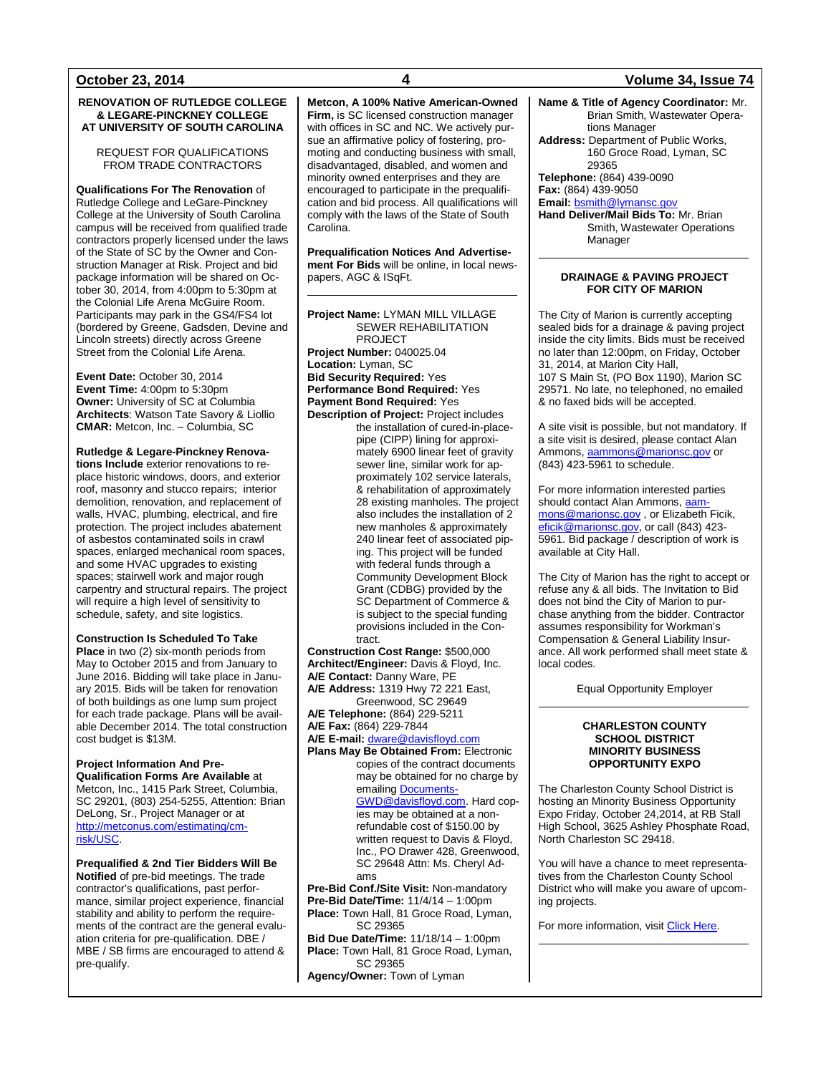### **RENOVATION OF RUTLEDGE COLLEGE & LEGARE-PINCKNEY COLLEGE AT UNIVERSITY OF SOUTH CAROLINA**

### REQUEST FOR QUALIFICATIONS FROM TRADE CONTRACTORS

**Qualifications For The Renovation** of Rutledge College and LeGare-Pinckney College at the University of South Carolina campus will be received from qualified trade contractors properly licensed under the laws of the State of SC by the Owner and Construction Manager at Risk. Project and bid package information will be shared on October 30, 2014, from 4:00pm to 5:30pm at the Colonial Life Arena McGuire Room. Participants may park in the GS4/FS4 lot (bordered by Greene, Gadsden, Devine and Lincoln streets) directly across Greene Street from the Colonial Life Arena.

**Event Date:** October 30, 2014 **Event Time:** 4:00pm to 5:30pm **Owner:** University of SC at Columbia **Architects**: Watson Tate Savory & Liollio **CMAR:** Metcon, Inc. – Columbia, SC

### **Rutledge & Legare-Pinckney Renova-**

**tions Include** exterior renovations to replace historic windows, doors, and exterior roof, masonry and stucco repairs; interior demolition, renovation, and replacement of walls, HVAC, plumbing, electrical, and fire protection. The project includes abatement of asbestos contaminated soils in crawl spaces, enlarged mechanical room spaces, and some HVAC upgrades to existing spaces; stairwell work and major rough carpentry and structural repairs. The project will require a high level of sensitivity to schedule, safety, and site logistics.

### **Construction Is Scheduled To Take**

**Place** in two (2) six-month periods from May to October 2015 and from January to June 2016. Bidding will take place in January 2015. Bids will be taken for renovation of both buildings as one lump sum project for each trade package. Plans will be available December 2014. The total construction cost budget is \$13M.

### **Project Information And Pre-**

**Qualification Forms Are Available** at Metcon, Inc., 1415 Park Street, Columbia, SC 29201, (803) 254-5255, Attention: Brian DeLong, Sr., Project Manager or at [http://metconus.com/estimating/cm](http://metconus.com/estimating/cm-risk/USC)[risk/USC.](http://metconus.com/estimating/cm-risk/USC)

**Prequalified & 2nd Tier Bidders Will Be Notified** of pre-bid meetings. The trade contractor's qualifications, past performance, similar project experience, financial stability and ability to perform the requirements of the contract are the general evaluation criteria for pre-qualification. DBE / MBE / SB firms are encouraged to attend & pre-qualify.

### **Metcon, A 100% Native American-Owned Firm,** is SC licensed construction manager with offices in SC and NC. We actively pursue an affirmative policy of fostering, promoting and conducting business with small, disadvantaged, disabled, and women and minority owned enterprises and they are encouraged to participate in the prequalification and bid process. All qualifications will comply with the laws of the State of South Carolina.

**Prequalification Notices And Advertisement For Bids** will be online, in local newspapers, AGC & ISqFt.

**Project Name:** LYMAN MILL VILLAGE SEWER REHABILITATION PROJECT **Project Number:** 040025.04 **Location:** Lyman, SC **Bid Security Required:** Yes **Performance Bond Required:** Yes **Payment Bond Required:** Yes **Description of Project:** Project includes

the installation of cured-in-placepipe (CIPP) lining for approximately 6900 linear feet of gravity sewer line, similar work for approximately 102 service laterals, & rehabilitation of approximately 28 existing manholes. The project also includes the installation of 2 new manholes & approximately 240 linear feet of associated piping. This project will be funded with federal funds through a Community Development Block Grant (CDBG) provided by the SC Department of Commerce & is subject to the special funding provisions included in the Contract.

**Construction Cost Range:** \$500,000 **Architect/Engineer:** Davis & Floyd, Inc.

- **A/E Contact:** Danny Ware, PE
- **A/E Address:** 1319 Hwy 72 221 East, Greenwood, SC 29649

**A/E Telephone:** (864) 229-5211

**A/E Fax:** (864) 229-7844

**A/E E-mail:** [dware@davisfloyd.com](mailto:dware@davisfloyd.com)

**Plans May Be Obtained From: Electronic** copies of the contract documents may be obtained for no charge by emailing **Documents-**[GWD@davisfloyd.com.](mailto:Documents-GWD@davisfloyd.com) Hard copies may be obtained at a nonrefundable cost of \$150.00 by written request to Davis & Floyd, Inc., PO Drawer 428, Greenwood, SC 29648 Attn: Ms. Cheryl Adams

**Pre-Bid Conf./Site Visit:** Non-mandatory **Pre-Bid Date/Time:** 11/4/14 – 1:00pm **Place:** Town Hall, 81 Groce Road, Lyman, SC 29365 **Bid Due Date/Time:** 11/18/14 – 1:00pm **Place:** Town Hall, 81 Groce Road, Lyman, SC 29365

**Agency/Owner:** Town of Lyman

### **October 23, 2014 4 Volume 34, Issue 74**

**Name & Title of Agency Coordinator:** Mr. Brian Smith, Wastewater Operations Manager **Address:** Department of Public Works, 160 Groce Road, Lyman, SC 29365 **Telephone:** (864) 439-0090 **Fax:** (864) 439-9050 **Email:** [bsmith@lymansc.gov](mailto:bsmith@lymansc.gov) **Hand Deliver/Mail Bids To:** Mr. Brian

Smith, Wastewater Operations Manager

### **DRAINAGE & PAVING PROJECT FOR CITY OF MARION**

The City of Marion is currently accepting sealed bids for a drainage & paving project inside the city limits. Bids must be received no later than 12:00pm, on Friday, October 31, 2014, at Marion City Hall, 107 S Main St, (PO Box 1190), Marion SC 29571. No late, no telephoned, no emailed & no faxed bids will be accepted.

A site visit is possible, but not mandatory. If a site visit is desired, please contact Alan Ammons, [aammons@marionsc.gov](mailto:aammons@marionsc.gov) or (843) 423-5961 to schedule.

For more information interested parties should contact Alan Ammons, [aam](mailto:aammons@marionsc.gov)[mons@marionsc.gov](mailto:aammons@marionsc.gov) , or Elizabeth Ficik, [eficik@marionsc.gov,](mailto:eficik@marionsc.gov) or call (843) 423- 5961. Bid package / description of work is available at City Hall.

The City of Marion has the right to accept or refuse any & all bids. The Invitation to Bid does not bind the City of Marion to purchase anything from the bidder. Contractor assumes responsibility for Workman's Compensation & General Liability Insurance. All work performed shall meet state & local codes.

Equal Opportunity Employer

### **CHARLESTON COUNTY SCHOOL DISTRICT MINORITY BUSINESS OPPORTUNITY EXPO**

The Charleston County School District is hosting an Minority Business Opportunity Expo Friday, October 24,2014, at RB Stall High School, 3625 Ashley Phosphate Road, North Charleston SC 29418.

You will have a chance to meet representatives from the Charleston County School District who will make you aware of upcoming projects.

For more information, visi[t Click Here.](http://www.ccsdschools.com/documents/MinorityBusinessExpo.pdf)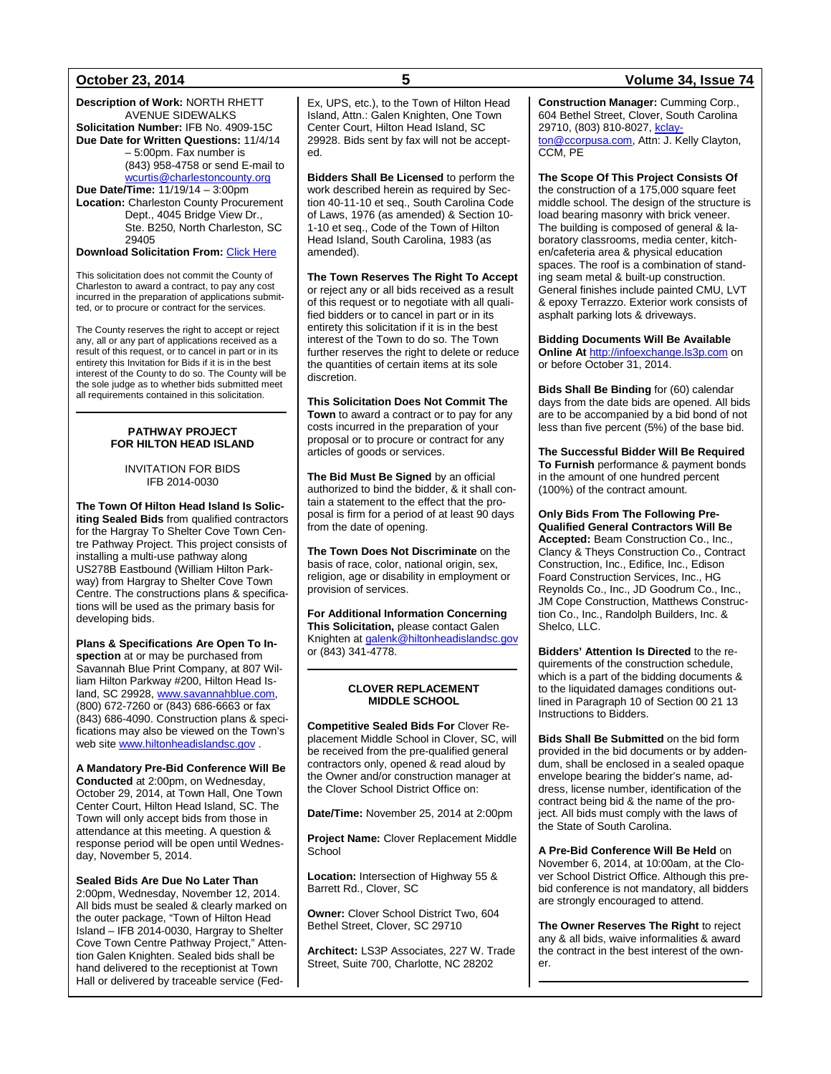**Description of Work:** NORTH RHETT AVENUE SIDEWALKS **Solicitation Number:** IFB No. 4909-15C **Due Date for Written Questions:** 11/4/14 – 5:00pm. Fax number is (843) 958-4758 or send E-mail to [wcurtis@charlestoncounty.org](mailto:wcurtis@charlestoncounty.org) **Due Date/Time:** 11/19/14 – 3:00pm **Location:** Charleston County Procurement Dept., 4045 Bridge View Dr.,

Ste. B250, North Charleston, SC 29405 **Download Solicitation From:** [Click Here](http://www.charlestoncounty.org/departments/procurement/current-bids.php)

This solicitation does not commit the County of Charleston to award a contract, to pay any cost incurred in the preparation of applications submitted, or to procure or contract for the services.

The County reserves the right to accept or reject any, all or any part of applications received as a result of this request, or to cancel in part or in its entirety this Invitation for Bids if it is in the best interest of the County to do so. The County will be the sole judge as to whether bids submitted meet all requirements contained in this solicitation.

### **PATHWAY PROJECT FOR HILTON HEAD ISLAND**

INVITATION FOR BIDS IFB 2014-0030

**The Town Of Hilton Head Island Is Soliciting Sealed Bids** from qualified contractors for the Hargray To Shelter Cove Town Centre Pathway Project. This project consists of installing a multi-use pathway along US278B Eastbound (William Hilton Parkway) from Hargray to Shelter Cove Town Centre. The constructions plans & specifications will be used as the primary basis for developing bids.

**Plans & Specifications Are Open To Inspection** at or may be purchased from Savannah Blue Print Company, at 807 William Hilton Parkway #200, Hilton Head Island, SC 29928[, www.savannahblue.com,](http://www.savannahblue.com/)  (800) 672-7260 or (843) 686-6663 or fax (843) 686-4090. Construction plans & specifications may also be viewed on the Town's web sit[e www.hiltonheadislandsc.gov](http://www.hiltonheadislandsc.gov/).

**A Mandatory Pre-Bid Conference Will Be Conducted** at 2:00pm, on Wednesday, October 29, 2014, at Town Hall, One Town Center Court, Hilton Head Island, SC. The Town will only accept bids from those in attendance at this meeting. A question & response period will be open until Wednesday, November 5, 2014.

### **Sealed Bids Are Due No Later Than**

2:00pm, Wednesday, November 12, 2014. All bids must be sealed & clearly marked on the outer package, "Town of Hilton Head Island – IFB 2014-0030, Hargray to Shelter Cove Town Centre Pathway Project," Attention Galen Knighten. Sealed bids shall be hand delivered to the receptionist at Town Hall or delivered by traceable service (Fed-

Ex, UPS, etc.), to the Town of Hilton Head Island, Attn.: Galen Knighten, One Town Center Court, Hilton Head Island, SC 29928. Bids sent by fax will not be accepted.

**Bidders Shall Be Licensed** to perform the work described herein as required by Section 40-11-10 et seq., South Carolina Code of Laws, 1976 (as amended) & Section 10- 1-10 et seq., Code of the Town of Hilton Head Island, South Carolina, 1983 (as amended).

**The Town Reserves The Right To Accept** or reject any or all bids received as a result of this request or to negotiate with all qualified bidders or to cancel in part or in its entirety this solicitation if it is in the best interest of the Town to do so. The Town further reserves the right to delete or reduce the quantities of certain items at its sole discretion.

**This Solicitation Does Not Commit The Town** to award a contract or to pay for any costs incurred in the preparation of your proposal or to procure or contract for any articles of goods or services.

**The Bid Must Be Signed** by an official authorized to bind the bidder, & it shall contain a statement to the effect that the proposal is firm for a period of at least 90 days from the date of opening.

**The Town Does Not Discriminate** on the basis of race, color, national origin, sex, religion, age or disability in employment or provision of services.

**For Additional Information Concerning This Solicitation,** please contact Galen Knighten a[t galenk@hiltonheadislandsc.gov](mailto:galenk@hiltonheadislandsc.gov) or (843) 341-4778.

### **CLOVER REPLACEMENT MIDDLE SCHOOL**

**Competitive Sealed Bids For** Clover Replacement Middle School in Clover, SC, will be received from the pre-qualified general contractors only, opened & read aloud by the Owner and/or construction manager at the Clover School District Office on:

**Date/Time:** November 25, 2014 at 2:00pm

**Project Name:** Clover Replacement Middle **School** 

**Location:** Intersection of Highway 55 & Barrett Rd., Clover, SC

**Owner:** Clover School District Two, 604 Bethel Street, Clover, SC 29710

**Architect:** LS3P Associates, 227 W. Trade Street, Suite 700, Charlotte, NC 28202

## **October 23, 2014 5 Volume 34, Issue 74**

**Construction Manager:** Cumming Corp., 604 Bethel Street, Clover, South Carolina 29710, (803) 810-8027[, kclay](mailto:kclayton@ccorpusa.com)[ton@ccorpusa.com,](mailto:kclayton@ccorpusa.com) Attn: J. Kelly Clayton, CCM, PE

**The Scope Of This Project Consists Of**

the construction of a 175,000 square feet middle school. The design of the structure is load bearing masonry with brick veneer. The building is composed of general & laboratory classrooms, media center, kitchen/cafeteria area & physical education spaces. The roof is a combination of standing seam metal & built-up construction. General finishes include painted CMU, LVT & epoxy Terrazzo. Exterior work consists of asphalt parking lots & driveways.

**Bidding Documents Will Be Available Online At** [http://infoexchange.ls3p.com](http://infoexchange.ls3p.com/) on or before October 31, 2014.

**Bids Shall Be Binding** for (60) calendar days from the date bids are opened. All bids are to be accompanied by a bid bond of not less than five percent (5%) of the base bid.

**The Successful Bidder Will Be Required To Furnish** performance & payment bonds in the amount of one hundred percent (100%) of the contract amount.

**Only Bids From The Following Pre-Qualified General Contractors Will Be Accepted:** Beam Construction Co., Inc., Clancy & Theys Construction Co., Contract Construction, Inc., Edifice, Inc., Edison Foard Construction Services, Inc., HG Reynolds Co., Inc., JD Goodrum Co., Inc., JM Cope Construction, Matthews Construction Co., Inc., Randolph Builders, Inc. & Shelco, LLC.

**Bidders' Attention Is Directed** to the requirements of the construction schedule, which is a part of the bidding documents & to the liquidated damages conditions outlined in Paragraph 10 of Section 00 21 13 Instructions to Bidders.

**Bids Shall Be Submitted** on the bid form provided in the bid documents or by addendum, shall be enclosed in a sealed opaque envelope bearing the bidder's name, address, license number, identification of the contract being bid & the name of the project. All bids must comply with the laws of the State of South Carolina.

**A Pre-Bid Conference Will Be Held** on November 6, 2014, at 10:00am, at the Clover School District Office. Although this prebid conference is not mandatory, all bidders are strongly encouraged to attend.

**The Owner Reserves The Right** to reject any & all bids, waive informalities & award the contract in the best interest of the owner.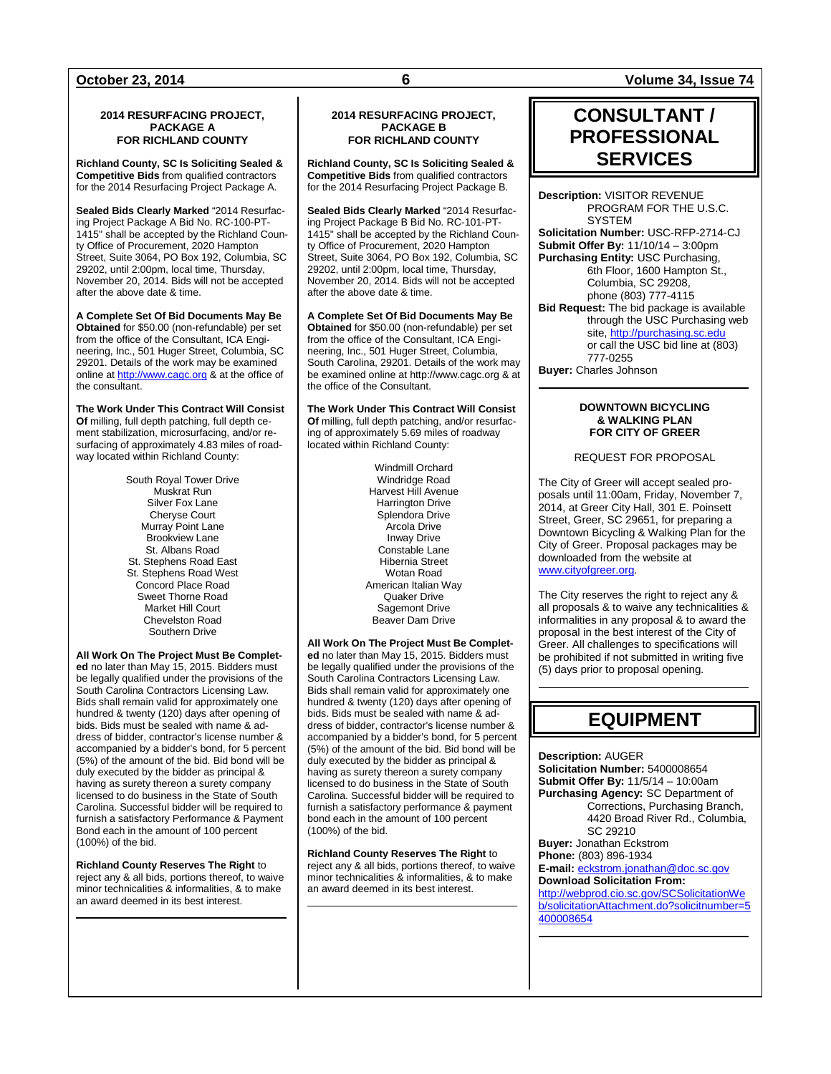### **2014 RESURFACING PROJECT, PACKAGE A FOR RICHLAND COUNTY**

**Richland County, SC Is Soliciting Sealed & Competitive Bids** from qualified contractors for the 2014 Resurfacing Project Package A.

**Sealed Bids Clearly Marked** "2014 Resurfacing Project Package A Bid No. RC-100-PT-1415" shall be accepted by the Richland County Office of Procurement, 2020 Hampton Street, Suite 3064, PO Box 192, Columbia, SC 29202, until 2:00pm, local time, Thursday, November 20, 2014. Bids will not be accepted after the above date & time.

**A Complete Set Of Bid Documents May Be Obtained** for \$50.00 (non-refundable) per set from the office of the Consultant, ICA Engineering, Inc., 501 Huger Street, Columbia, SC 29201. Details of the work may be examined online a[t http://www.cagc.org](http://www.cagc.org/) & at the office of the consultant.

**The Work Under This Contract Will Consist Of** milling, full depth patching, full depth cement stabilization, microsurfacing, and/or resurfacing of approximately 4.83 miles of roadway located within Richland County:

> South Royal Tower Drive Muskrat Run Silver Fox Lane Cheryse Court Murray Point Lane Brookview Lane St. Albans Road St. Stephens Road East St. Stephens Road West Concord Place Road Sweet Thorne Road Market Hill Court Chevelston Road Southern Drive

**All Work On The Project Must Be Completed** no later than May 15, 2015. Bidders must be legally qualified under the provisions of the South Carolina Contractors Licensing Law. Bids shall remain valid for approximately one hundred & twenty (120) days after opening of bids. Bids must be sealed with name & address of bidder, contractor's license number & accompanied by a bidder's bond, for 5 percent (5%) of the amount of the bid. Bid bond will be duly executed by the bidder as principal & having as surety thereon a surety company licensed to do business in the State of South Carolina. Successful bidder will be required to furnish a satisfactory Performance & Payment Bond each in the amount of 100 percent (100%) of the bid.

**Richland County Reserves The Right** to reject any & all bids, portions thereof, to waive minor technicalities & informalities, & to make an award deemed in its best interest.

### **2014 RESURFACING PROJECT, PACKAGE B FOR RICHLAND COUNTY**

**Richland County, SC Is Soliciting Sealed & Competitive Bids** from qualified contractors for the 2014 Resurfacing Project Package B.

**Sealed Bids Clearly Marked** "2014 Resurfacing Project Package B Bid No. RC-101-PT-1415" shall be accepted by the Richland County Office of Procurement, 2020 Hampton Street, Suite 3064, PO Box 192, Columbia, SC 29202, until 2:00pm, local time, Thursday, November 20, 2014. Bids will not be accepted after the above date & time.

**A Complete Set Of Bid Documents May Be Obtained** for \$50.00 (non-refundable) per set from the office of the Consultant, ICA Engineering, Inc., 501 Huger Street, Columbia, South Carolina, 29201. Details of the work may be examined online at http://www.cagc.org & at the office of the Consultant.

**The Work Under This Contract Will Consist Of** milling, full depth patching, and/or resurfacing of approximately 5.69 miles of roadway located within Richland County:

> Windmill Orchard Windridge Road Harvest Hill Avenue Harrington Drive Splendora Drive Arcola Drive Inway Drive Constable Lane Hibernia Street Wotan Road American Italian Way Quaker Drive Sagemont Drive Beaver Dam Drive

**All Work On The Project Must Be Completed** no later than May 15, 2015. Bidders must be legally qualified under the provisions of the South Carolina Contractors Licensing Law. Bids shall remain valid for approximately one hundred & twenty (120) days after opening of bids. Bids must be sealed with name & address of bidder, contractor's license number & accompanied by a bidder's bond, for 5 percent (5%) of the amount of the bid. Bid bond will be duly executed by the bidder as principal & having as surety thereon a surety company licensed to do business in the State of South Carolina. Successful bidder will be required to furnish a satisfactory performance & payment bond each in the amount of 100 percent (100%) of the bid.

**Richland County Reserves The Right** to reject any & all bids, portions thereof, to waive minor technicalities & informalities, & to make an award deemed in its best interest.

**October 23, 2014 6 Volume 34, Issue 74**

## **CONSULTANT / PROFESSIONAL SERVICES**

**Description:** VISITOR REVENUE PROGRAM FOR THE U.S.C. **SYSTEM Solicitation Number:** USC-RFP-2714-CJ **Submit Offer By:** 11/10/14 – 3:00pm **Purchasing Entity:** USC Purchasing, 6th Floor, 1600 Hampton St., Columbia, SC 29208, phone (803) 777-4115 **Bid Request:** The bid package is available through the USC Purchasing web site[, http://purchasing.sc.edu](http://purchasing.sc.edu/) or call the USC bid line at (803) 777-0255

**Buyer:** Charles Johnson

### **DOWNTOWN BICYCLING & WALKING PLAN FOR CITY OF GREER**

REQUEST FOR PROPOSAL

The City of Greer will accept sealed proposals until 11:00am, Friday, November 7, 2014, at Greer City Hall, 301 E. Poinsett Street, Greer, SC 29651, for preparing a Downtown Bicycling & Walking Plan for the City of Greer. Proposal packages may be downloaded from the website at [www.cityofgreer.org.](http://www.cityofgreer.org/)

The City reserves the right to reject any & all proposals & to waive any technicalities & informalities in any proposal & to award the proposal in the best interest of the City of Greer. All challenges to specifications will be prohibited if not submitted in writing five (5) days prior to proposal opening.

## **EQUIPMENT**

**Description:** AUGER **Solicitation Number:** 5400008654 **Submit Offer By:** 11/5/14 – 10:00am **Purchasing Agency:** SC Department of Corrections, Purchasing Branch, 4420 Broad River Rd., Columbia, SC 29210 **Buyer:** Jonathan Eckstrom **Phone:** (803) 896-1934 **E-mail:** [eckstrom.jonathan@doc.sc.gov](mailto:eckstrom.jonathan@doc.sc.gov) **Download Solicitation From:** [http://webprod.cio.sc.gov/SCSolicitationWe](http://webprod.cio.sc.gov/SCSolicitationWeb/solicitationAttachment.do?solicitnumber=5400008654) [b/solicitationAttachment.do?solicitnumber=5](http://webprod.cio.sc.gov/SCSolicitationWeb/solicitationAttachment.do?solicitnumber=5400008654) [400008654](http://webprod.cio.sc.gov/SCSolicitationWeb/solicitationAttachment.do?solicitnumber=5400008654)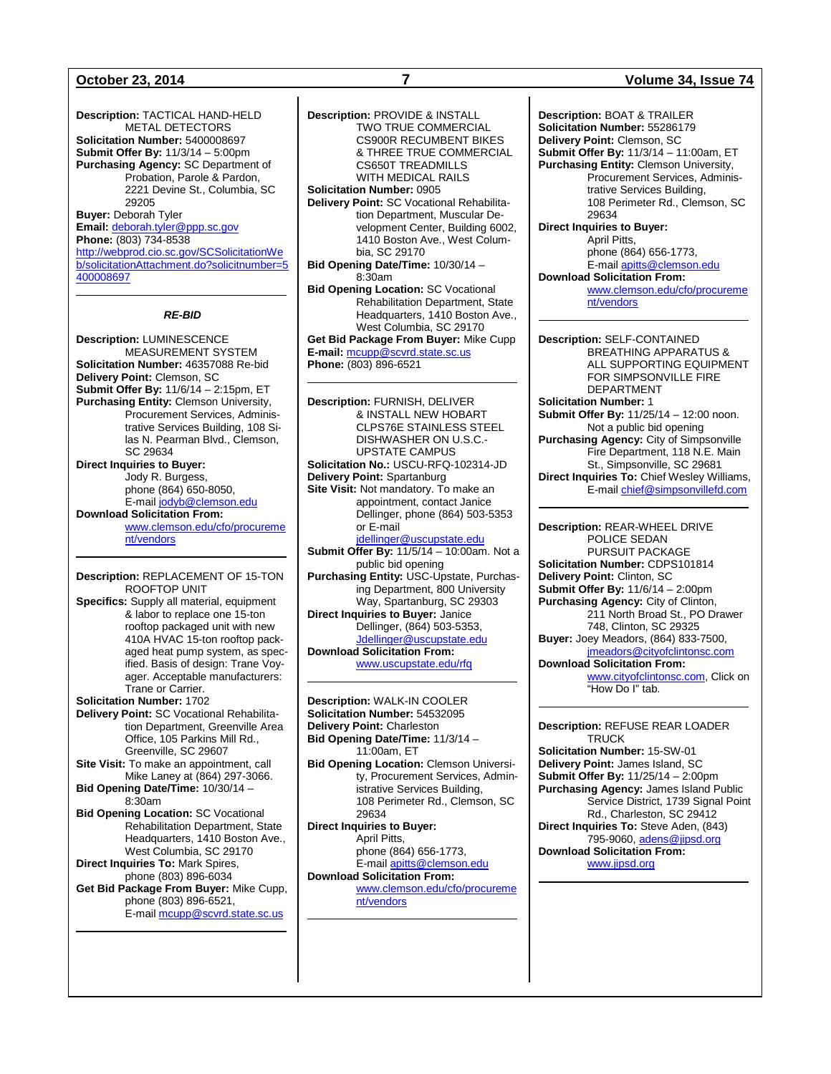**Description:** TACTICAL HAND-HELD METAL DETECTORS **Solicitation Number:** 5400008697 **Submit Offer By:** 11/3/14 – 5:00pm **Purchasing Agency:** SC Department of Probation, Parole & Pardon, 2221 Devine St., Columbia, SC 29205 **Buyer:** Deborah Tyler **Email:** [deborah.tyler@ppp.sc.gov](mailto:deborah.tyler@ppp.sc.gov) **Phone:** (803) 734-8538 [http://webprod.cio.sc.gov/SCSolicitationWe](http://webprod.cio.sc.gov/SCSolicitationWeb/solicitationAttachment.do?solicitnumber=5400008697) [b/solicitationAttachment.do?solicitnumber=5](http://webprod.cio.sc.gov/SCSolicitationWeb/solicitationAttachment.do?solicitnumber=5400008697) [400008697](http://webprod.cio.sc.gov/SCSolicitationWeb/solicitationAttachment.do?solicitnumber=5400008697)

### *RE-BID*

**Description:** LUMINESCENCE MEASUREMENT SYSTEM **Solicitation Number:** 46357088 Re-bid **Delivery Point:** Clemson, SC **Submit Offer By:** 11/6/14 – 2:15pm, ET **Purchasing Entity:** Clemson University, Procurement Services, Administrative Services Building, 108 Silas N. Pearman Blvd., Clemson, SC 29634 **Direct Inquiries to Buyer:** Jody R. Burgess, phone (864) 650-8050, E-mail [jodyb@clemson.edu](mailto:jodyb@clemson.edu) **Download Solicitation From:** [www.clemson.edu/cfo/procureme](http://www.clemson.edu/cfo/procurement/vendors) [nt/vendors](http://www.clemson.edu/cfo/procurement/vendors)

**Description:** REPLACEMENT OF 15-TON ROOFTOP UNIT **Specifics:** Supply all material, equipment & labor to replace one 15-ton rooftop packaged unit with new 410A HVAC 15-ton rooftop packaged heat pump system, as specified. Basis of design: Trane Voyager. Acceptable manufacturers: Trane or Carrier. **Solicitation Number:** 1702 **Delivery Point:** SC Vocational Rehabilitation Department, Greenville Area Office, 105 Parkins Mill Rd., Greenville, SC 29607 **Site Visit:** To make an appointment, call Mike Laney at (864) 297-3066. **Bid Opening Date/Time:** 10/30/14 – 8:30am

**Bid Opening Location:** SC Vocational Rehabilitation Department, State Headquarters, 1410 Boston Ave., West Columbia, SC 29170 **Direct Inquiries To:** Mark Spires,

phone (803) 896-6034 **Get Bid Package From Buyer:** Mike Cupp, phone (803) 896-6521, E-mail [mcupp@scvrd.state.sc.us](mailto:mcupp@scvrd.state.sc.us)

**Description:** PROVIDE & INSTALL TWO TRUE COMMERCIAL CS900R RECUMBENT BIKES & THREE TRUE COMMERCIAL CS650T TREADMILLS WITH MEDICAL RAILS **Solicitation Number:** 0905 **Delivery Point:** SC Vocational Rehabilitation Department, Muscular Development Center, Building 6002, 1410 Boston Ave., West Columbia, SC 29170 **Bid Opening Date/Time:** 10/30/14 – 8:30am **Bid Opening Location:** SC Vocational Rehabilitation Department, State Headquarters, 1410 Boston Ave., West Columbia, SC 29170

**Get Bid Package From Buyer:** Mike Cupp **E-mail:** [mcupp@scvrd.state.sc.us](mailto:mcupp@scvrd.state.sc.us) **Phone:** (803) 896-6521

**Description:** FURNISH, DELIVER & INSTALL NEW HOBART CLPS76E STAINLESS STEEL DISHWASHER ON U.S.C.- UPSTATE CAMPUS **Solicitation No.:** USCU-RFQ-102314-JD **Delivery Point:** Spartanburg **Site Visit:** Not mandatory. To make an appointment, contact Janice Dellinger, phone (864) 503-5353 or E-mail [jdellinger@uscupstate.edu](mailto:jdellinger@uscupstate.edu) **Submit Offer By:** 11/5/14 – 10:00am. Not a public bid opening **Purchasing Entity:** USC-Upstate, Purchasing Department, 800 University Way, Spartanburg, SC 29303 **Direct Inquiries to Buyer:** Janice Dellinger, (864) 503-5353, [Jdellinger@uscupstate.edu](mailto:Jdellinger@uscupstate.edu) **Download Solicitation From:** [www.uscupstate.edu/rfq](http://www.uscupstate.edu/rfq)

**Description:** WALK-IN COOLER **Solicitation Number:** 54532095 **Delivery Point:** Charleston **Bid Opening Date/Time:** 11/3/14 – 11:00am, ET **Bid Opening Location:** Clemson University, Procurement Services, Administrative Services Building, 108 Perimeter Rd., Clemson, SC 29634 **Direct Inquiries to Buyer:** April Pitts, phone (864) 656-1773, E-mai[l apitts@clemson.edu](mailto:apitts@clemson.edu) **Download Solicitation From:**

[www.clemson.edu/cfo/procureme](http://www.clemson.edu/cfo/procurement/vendors) [nt/vendors](http://www.clemson.edu/cfo/procurement/vendors)

### **October 23, 2014 7 Volume 34, Issue 74**

**Description:** BOAT & TRAILER **Solicitation Number:** 55286179 **Delivery Point:** Clemson, SC **Submit Offer By:** 11/3/14 – 11:00am, ET **Purchasing Entity:** Clemson University, Procurement Services, Administrative Services Building, 108 Perimeter Rd., Clemson, SC 29634 **Direct Inquiries to Buyer:** April Pitts, phone (864) 656-1773, E-mai[l apitts@clemson.edu](mailto:apitts@clemson.edu) **Download Solicitation From:** [www.clemson.edu/cfo/procureme](http://www.clemson.edu/cfo/procurement/vendors) [nt/vendors](http://www.clemson.edu/cfo/procurement/vendors)

**Description:** SELF-CONTAINED BREATHING APPARATUS & ALL SUPPORTING EQUIPMENT FOR SIMPSONVILLE FIRE DEPARTMENT **Solicitation Number:** 1 **Submit Offer By:** 11/25/14 – 12:00 noon. Not a public bid opening **Purchasing Agency:** City of Simpsonville Fire Department, 118 N.E. Main St., Simpsonville, SC 29681 **Direct Inquiries To:** Chief Wesley Williams, E-mai[l chief@simpsonvillefd.com](mailto:chief@simpsonvillefd.com)

**Description:** REAR-WHEEL DRIVE POLICE SEDAN PURSUIT PACKAGE **Solicitation Number:** CDPS101814 **Delivery Point:** Clinton, SC **Submit Offer By:** 11/6/14 – 2:00pm **Purchasing Agency:** City of Clinton, 211 North Broad St., PO Drawer 748, Clinton, SC 29325 **Buyer:** Joey Meadors, (864) 833-7500, [jmeadors@cityofclintonsc.com](mailto:jmeadors@cityofclintonsc.com) **Download Solicitation From:** [www.cityofclintonsc.com,](http://www.cityofclintonsc.com/) Click on "How Do I" tab.

**Description:** REFUSE REAR LOADER TRUCK **Solicitation Number:** 15-SW-01

**Delivery Point:** James Island, SC **Submit Offer By:** 11/25/14 – 2:00pm **Purchasing Agency:** James Island Public Service District, 1739 Signal Point Rd., Charleston, SC 29412 **Direct Inquiries To:** Steve Aden, (843) 795-9060, [adens@jipsd.org](mailto:adens@jipsd.org) **Download Solicitation From:** [www.jipsd.org](http://www.jipsd.org/)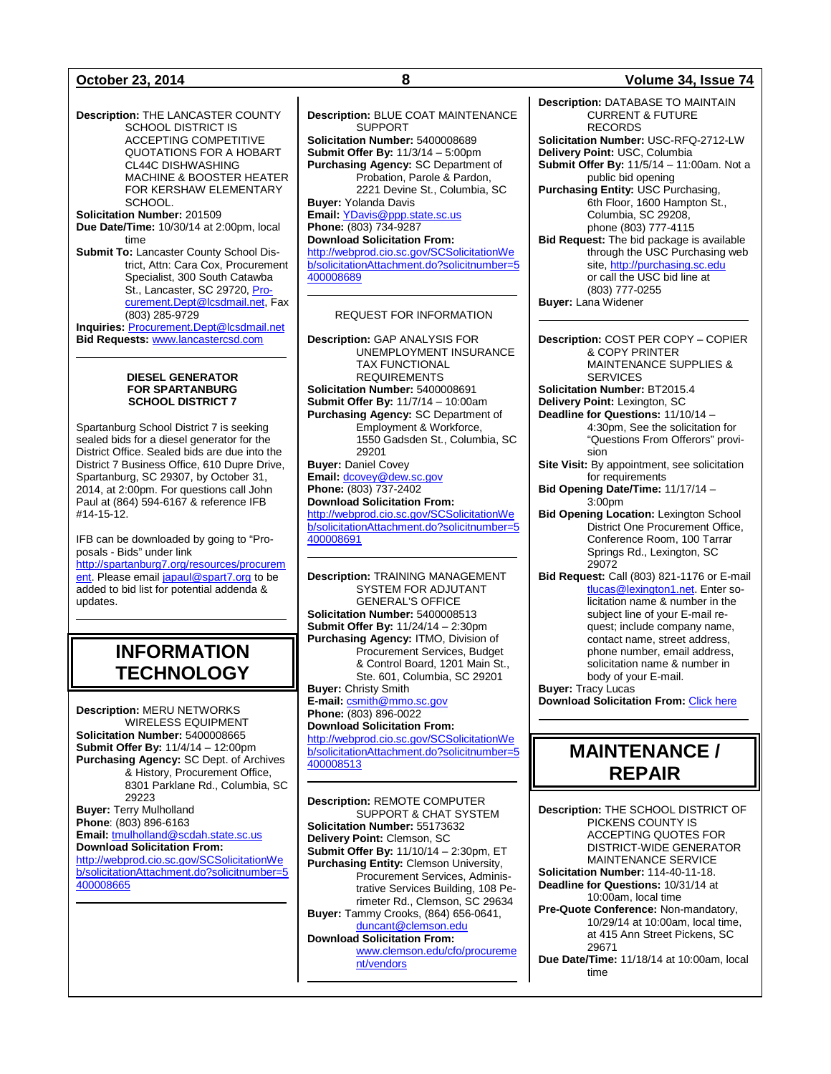**Description:** THE LANCASTER COUNTY SCHOOL DISTRICT IS ACCEPTING COMPETITIVE QUOTATIONS FOR A HOBART CL44C DISHWASHING MACHINE & BOOSTER HEATER FOR KERSHAW ELEMENTARY SCHOOL.

**Solicitation Number:** 201509 **Due Date/Time:** 10/30/14 at 2:00pm, local time

**Submit To:** Lancaster County School District, Attn: Cara Cox, Procurement Specialist, 300 South Catawba St., Lancaster, SC 29720, [Pro](mailto:Procurement.Dept@lcsdmail.net)[curement.Dept@lcsdmail.net,](mailto:Procurement.Dept@lcsdmail.net) Fax (803) 285-9729

**Inquiries:** [Procurement.Dept@lcsdmail.net](mailto:Procurement.Dept@lcsdmail.net) **Bid Requests:** [www.lancastercsd.com](http://www.lancastercsd.com/)

### **DIESEL GENERATOR FOR SPARTANBURG SCHOOL DISTRICT 7**

Spartanburg School District 7 is seeking sealed bids for a diesel generator for the District Office. Sealed bids are due into the District 7 Business Office, 610 Dupre Drive, Spartanburg, SC 29307, by October 31, 2014, at 2:00pm. For questions call John Paul at (864) 594-6167 & reference IFB #14-15-12.

IFB can be downloaded by going to "Proposals - Bids" under link

[http://spartanburg7.org/resources/procurem](http://spartanburg7.org/resources/procurement) [ent.](http://spartanburg7.org/resources/procurement) Please emai[l japaul@spart7.org](mailto:japaul@spart7.org) to be added to bid list for potential addenda & updates.

## **INFORMATION TECHNOLOGY**

**Description:** MERU NETWORKS WIRELESS EQUIPMENT **Solicitation Number:** 5400008665 **Submit Offer By:** 11/4/14 – 12:00pm **Purchasing Agency:** SC Dept. of Archives & History, Procurement Office, 8301 Parklane Rd., Columbia, SC 29223 **Buyer:** Terry Mulholland **Phone**: (803) 896-6163 **Email:** [tmulholland@scdah.state.sc.us](mailto:tmulholland@scdah.state.sc.us) **Download Solicitation From:** [http://webprod.cio.sc.gov/SCSolicitationWe](http://webprod.cio.sc.gov/SCSolicitationWeb/solicitationAttachment.do?solicitnumber=5400008665)

[b/solicitationAttachment.do?solicitnumber=5](http://webprod.cio.sc.gov/SCSolicitationWeb/solicitationAttachment.do?solicitnumber=5400008665) [400008665](http://webprod.cio.sc.gov/SCSolicitationWeb/solicitationAttachment.do?solicitnumber=5400008665)

**Description:** BLUE COAT MAINTENANCE SUPPORT **Solicitation Number:** 5400008689 **Submit Offer By:** 11/3/14 – 5:00pm **Purchasing Agency:** SC Department of Probation, Parole & Pardon, 2221 Devine St., Columbia, SC **Buyer:** Yolanda Davis **Email:** [YDavis@ppp.state.sc.us](mailto:YDavis@ppp.state.sc.us) **Phone:** (803) 734-9287 **Download Solicitation From:** [http://webprod.cio.sc.gov/SCSolicitationWe](http://webprod.cio.sc.gov/SCSolicitationWeb/solicitationAttachment.do?solicitnumber=5400008689) [b/solicitationAttachment.do?solicitnumber=5](http://webprod.cio.sc.gov/SCSolicitationWeb/solicitationAttachment.do?solicitnumber=5400008689) [400008689](http://webprod.cio.sc.gov/SCSolicitationWeb/solicitationAttachment.do?solicitnumber=5400008689)

### REQUEST FOR INFORMATION

**Description:** GAP ANALYSIS FOR UNEMPLOYMENT INSURANCE TAX FUNCTIONAL REQUIREMENTS **Solicitation Number:** 5400008691 **Submit Offer By:** 11/7/14 – 10:00am **Purchasing Agency:** SC Department of Employment & Workforce, 1550 Gadsden St., Columbia, SC 29201 **Buyer:** Daniel Covey **Email:** [dcovey@dew.sc.gov](mailto:dcovey@dew.sc.gov) **Phone:** (803) 737-2402 **Download Solicitation From:** [http://webprod.cio.sc.gov/SCSolicitationWe](http://webprod.cio.sc.gov/SCSolicitationWeb/solicitationAttachment.do?solicitnumber=5400008691) [b/solicitationAttachment.do?solicitnumber=5](http://webprod.cio.sc.gov/SCSolicitationWeb/solicitationAttachment.do?solicitnumber=5400008691) [400008691](http://webprod.cio.sc.gov/SCSolicitationWeb/solicitationAttachment.do?solicitnumber=5400008691)

**Description:** TRAINING MANAGEMENT SYSTEM FOR ADJUTANT GENERAL'S OFFICE **Solicitation Number:** 5400008513 **Submit Offer By:** 11/24/14 – 2:30pm **Purchasing Agency:** ITMO, Division of Procurement Services, Budget & Control Board, 1201 Main St., Ste. 601, Columbia, SC 29201 **Buyer:** Christy Smith **E-mail:** [csmith@mmo.sc.gov](mailto:csmith@mmo.sc.gov) **Phone:** (803) 896-0022 **Download Solicitation From:** [http://webprod.cio.sc.gov/SCSolicitationWe](http://webprod.cio.sc.gov/SCSolicitationWeb/solicitationAttachment.do?solicitnumber=5400008513) [b/solicitationAttachment.do?solicitnumber=5](http://webprod.cio.sc.gov/SCSolicitationWeb/solicitationAttachment.do?solicitnumber=5400008513) [400008513](http://webprod.cio.sc.gov/SCSolicitationWeb/solicitationAttachment.do?solicitnumber=5400008513)

**Description:** REMOTE COMPUTER SUPPORT & CHAT SYSTEM **Solicitation Number:** 55173632 **Delivery Point:** Clemson, SC **Submit Offer By:** 11/10/14 – 2:30pm, ET **Purchasing Entity:** Clemson University, Procurement Services, Administrative Services Building, 108 Perimeter Rd., Clemson, SC 29634 **Buyer:** Tammy Crooks, (864) 656-0641, [duncant@clemson.edu](mailto:duncant@clemson.edu) **Download Solicitation From:** [www.clemson.edu/cfo/procureme](http://www.clemson.edu/cfo/procurement/vendors) [nt/vendors](http://www.clemson.edu/cfo/procurement/vendors)

### **October 23, 2014 8 Volume 34, Issue 74**

**Description:** DATABASE TO MAINTAIN CURRENT & FUTURE RECORDS **Solicitation Number:** USC-RFQ-2712-LW **Delivery Point:** USC, Columbia **Submit Offer By:** 11/5/14 – 11:00am. Not a public bid opening **Purchasing Entity:** USC Purchasing, 6th Floor, 1600 Hampton St., Columbia, SC 29208, phone (803) 777-4115 **Bid Request:** The bid package is available through the USC Purchasing web site[, http://purchasing.sc.edu](http://purchasing.sc.edu/) or call the USC bid line at (803) 777-0255 **Buyer:** Lana Widener

**Description:** COST PER COPY – COPIER & COPY PRINTER MAINTENANCE SUPPLIES & **SERVICES Solicitation Number:** BT2015.4 **Delivery Point:** Lexington, SC **Deadline for Questions:** 11/10/14 – 4:30pm, See the solicitation for "Questions From Offerors" provision **Site Visit:** By appointment, see solicitation for requirements **Bid Opening Date/Time:** 11/17/14 – 3:00pm

**Bid Opening Location:** Lexington School District One Procurement Office, Conference Room, 100 Tarrar Springs Rd., Lexington, SC 29072

**Bid Request:** Call (803) 821-1176 or E-mail [tlucas@lexington1.net.](mailto:tlucas@lexington1.net) Enter solicitation name & number in the subject line of your E-mail request; include company name, contact name, street address, phone number, email address, solicitation name & number in body of your E-mail.

**Buyer:** Tracy Lucas **Download Solicitation From: [Click here](http://www.lexington1.net/lexoneweb/index.aspx?page=FiscalServices/Procurement/Procurementsolicitawards.aspx)** 

## **MAINTENANCE / REPAIR**

**Description:** THE SCHOOL DISTRICT OF PICKENS COUNTY IS ACCEPTING QUOTES FOR DISTRICT-WIDE GENERATOR MAINTENANCE SERVICE **Solicitation Number:** 114-40-11-18. **Deadline for Questions:** 10/31/14 at 10:00am, local time **Pre-Quote Conference:** Non-mandatory, 10/29/14 at 10:00am, local time, at 415 Ann Street Pickens, SC 29671 **Due Date/Time:** 11/18/14 at 10:00am, local time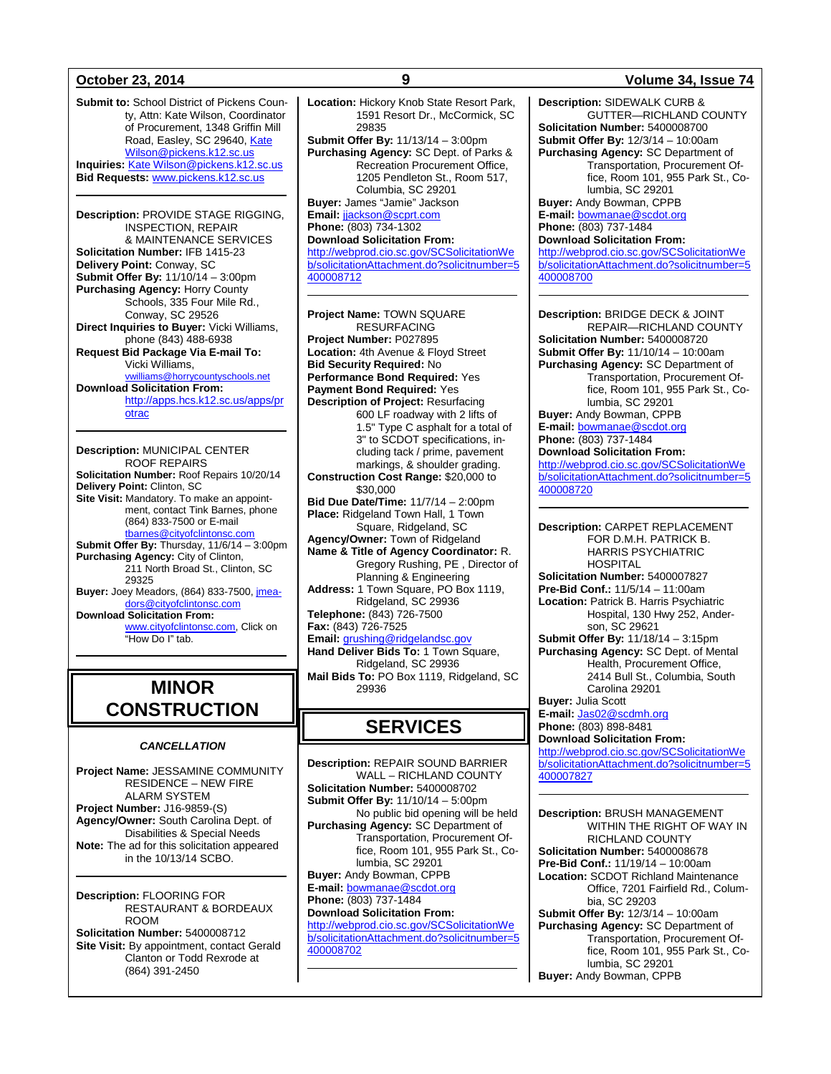**Submit to:** School District of Pickens County, Attn: Kate Wilson, Coordinator of Procurement, 1348 Griffin Mill Road, Easley, SC 29640, [Kate](mailto:Kate%20Wilson@pickens.k12.sc.us)  [Wilson@pickens.k12.sc.us](mailto:Kate%20Wilson@pickens.k12.sc.us) **Inquiries:** [Kate Wilson@pickens.k12.sc.us](mailto:Kate%20Wilson@pickens.k12.sc.us) **Bid Requests:** [www.pickens.k12.sc.us](http://www.pickens.k12.sc.us/)

**Description:** PROVIDE STAGE RIGGING, INSPECTION, REPAIR & MAINTENANCE SERVICES **Solicitation Number:** IFB 1415-23 **Delivery Point:** Conway, SC **Submit Offer By:** 11/10/14 – 3:00pm **Purchasing Agency:** Horry County Schools, 335 Four Mile Rd., Conway, SC 29526 **Direct Inquiries to Buyer:** Vicki Williams, phone (843) 488-6938 **Request Bid Package Via E-mail To:** Vicki Williams, iams@horrycountyschools.net **Download Solicitation From:** [http://apps.hcs.k12.sc.us/apps/pr](http://apps.hcs.k12.sc.us/apps/protrac) [otrac](http://apps.hcs.k12.sc.us/apps/protrac)

**Description:** MUNICIPAL CENTER ROOF REPAIRS **Solicitation Number:** Roof Repairs 10/20/14 **Delivery Point:** Clinton, SC **Site Visit:** Mandatory. To make an appointment, contact Tink Barnes, phone (864) 833-7500 or E-mail [tbarnes@cityofclintonsc.com](mailto:tbarnes@cityofclintonsc.com) **Submit Offer By:** Thursday, 11/6/14 – 3:00pm **Purchasing Agency:** City of Clinton, 211 North Broad St., Clinton, SC 29325 **Buyer:** Joey Meadors, (864) 833-7500[, jmea](mailto:jmeadors@cityofclintonsc.com)[dors@cityofclintonsc.com](mailto:jmeadors@cityofclintonsc.com) **Download Solicitation From:** [www.cityofclintonsc.com,](http://www.cityofclintonsc.com/) Click on "How Do I" tab.

## **MINOR CONSTRUCTION**

### *CANCELLATION*

**Project Name:** JESSAMINE COMMUNITY RESIDENCE – NEW FIRE ALARM SYSTEM **Project Number:** J16-9859-(S) **Agency/Owner:** South Carolina Dept. of Disabilities & Special Needs **Note:** The ad for this solicitation appeared in the 10/13/14 SCBO.

**Description:** FLOORING FOR RESTAURANT & BORDEAUX ROOM **Solicitation Number:** 5400008712 **Site Visit:** By appointment, contact Gerald Clanton or Todd Rexrode at (864) 391-2450

**Location:** Hickory Knob State Resort Park, 1591 Resort Dr., McCormick, SC 29835 **Submit Offer By:** 11/13/14 – 3:00pm **Purchasing Agency:** SC Dept. of Parks & Recreation Procurement Office, 1205 Pendleton St., Room 517, Columbia, SC 29201 **Buyer:** James "Jamie" Jackson **Email:** [jjackson@scprt.com](mailto:jjackson@scprt.com) **Phone:** (803) 734-1302 **Download Solicitation From:** [http://webprod.cio.sc.gov/SCSolicitationWe](http://webprod.cio.sc.gov/SCSolicitationWeb/solicitationAttachment.do?solicitnumber=5400008712) [b/solicitationAttachment.do?solicitnumber=5](http://webprod.cio.sc.gov/SCSolicitationWeb/solicitationAttachment.do?solicitnumber=5400008712) [400008712](http://webprod.cio.sc.gov/SCSolicitationWeb/solicitationAttachment.do?solicitnumber=5400008712)

**Project Name:** TOWN SQUARE RESURFACING **Project Number:** P027895 **Location:** 4th Avenue & Floyd Street **Bid Security Required:** No **Performance Bond Required:** Yes **Payment Bond Required:** Yes **Description of Project:** Resurfacing 600 LF roadway with 2 lifts of 1.5" Type C asphalt for a total of 3" to SCDOT specifications, including tack / prime, pavement markings, & shoulder grading. **Construction Cost Range:** \$20,000 to \$30,000 **Bid Due Date/Time:** 11/7/14 – 2:00pm **Place:** Ridgeland Town Hall, 1 Town Square, Ridgeland, SC **Agency/Owner:** Town of Ridgeland **Name & Title of Agency Coordinator:** R. Gregory Rushing, PE , Director of Planning & Engineering **Address:** 1 Town Square, PO Box 1119, Ridgeland, SC 29936 **Telephone:** (843) 726-7500 **Fax:** (843) 726-7525 **Email:** [grushing@ridgelandsc.gov](mailto:grushing@ridgelandsc.gov) **Hand Deliver Bids To:** 1 Town Square, Ridgeland, SC 29936 **Mail Bids To:** PO Box 1119, Ridgeland, SC 29936

## **SERVICES**

**Description:** REPAIR SOUND BARRIER WALL – RICHLAND COUNTY **Solicitation Number:** 5400008702 **Submit Offer By:** 11/10/14 – 5:00pm No public bid opening will be held **Purchasing Agency:** SC Department of Transportation, Procurement Office, Room 101, 955 Park St., Columbia, SC 29201 **Buyer:** Andy Bowman, CPPB **E-mail:** [bowmanae@scdot.org](mailto:bowmanae@scdot.org) **Phone:** (803) 737-1484 **Download Solicitation From:** [http://webprod.cio.sc.gov/SCSolicitationWe](http://webprod.cio.sc.gov/SCSolicitationWeb/solicitationAttachment.do?solicitnumber=5400008702) [b/solicitationAttachment.do?solicitnumber=5](http://webprod.cio.sc.gov/SCSolicitationWeb/solicitationAttachment.do?solicitnumber=5400008702) [400008702](http://webprod.cio.sc.gov/SCSolicitationWeb/solicitationAttachment.do?solicitnumber=5400008702)

## **October 23, 2014 9 Volume 34, Issue 74**

**Description:** SIDEWALK CURB & GUTTER—RICHLAND COUNTY **Solicitation Number:** 5400008700 **Submit Offer By:** 12/3/14 – 10:00am **Purchasing Agency:** SC Department of Transportation, Procurement Office, Room 101, 955 Park St., Columbia, SC 29201 **Buyer:** Andy Bowman, CPPB **E-mail:** [bowmanae@scdot.org](mailto:bowmanae@scdot.org)

**Phone:** (803) 737-1484 **Download Solicitation From:**

[http://webprod.cio.sc.gov/SCSolicitationWe](http://webprod.cio.sc.gov/SCSolicitationWeb/solicitationAttachment.do?solicitnumber=5400008700) [b/solicitationAttachment.do?solicitnumber=5](http://webprod.cio.sc.gov/SCSolicitationWeb/solicitationAttachment.do?solicitnumber=5400008700) [400008700](http://webprod.cio.sc.gov/SCSolicitationWeb/solicitationAttachment.do?solicitnumber=5400008700)

**Description:** BRIDGE DECK & JOINT REPAIR—RICHLAND COUNTY **Solicitation Number:** 5400008720 **Submit Offer By:** 11/10/14 – 10:00am **Purchasing Agency:** SC Department of Transportation, Procurement Office, Room 101, 955 Park St., Columbia, SC 29201 **Buyer:** Andy Bowman, CPPB **E-mail:** [bowmanae@scdot.org](mailto:bowmanae@scdot.org) **Phone:** (803) 737-1484 **Download Solicitation From:** [http://webprod.cio.sc.gov/SCSolicitationWe](http://webprod.cio.sc.gov/SCSolicitationWeb/solicitationAttachment.do?solicitnumber=5400008720) [b/solicitationAttachment.do?solicitnumber=5](http://webprod.cio.sc.gov/SCSolicitationWeb/solicitationAttachment.do?solicitnumber=5400008720) [400008720](http://webprod.cio.sc.gov/SCSolicitationWeb/solicitationAttachment.do?solicitnumber=5400008720)

**Description:** CARPET REPLACEMENT FOR D.M.H. PATRICK B. HARRIS PSYCHIATRIC **HOSPITAL Solicitation Number:** 5400007827 **Pre-Bid Conf.:** 11/5/14 – 11:00am **Location:** Patrick B. Harris Psychiatric Hospital, 130 Hwy 252, Anderson, SC 29621 **Submit Offer By:** 11/18/14 – 3:15pm **Purchasing Agency:** SC Dept. of Mental Health, Procurement Office, 2414 Bull St., Columbia, South Carolina 29201 **Buyer:** Julia Scott **E-mail:** [Jas02@scdmh.org](mailto:Jas02@scdmh.org) **Phone:** (803) 898-8481

**Download Solicitation From:** [http://webprod.cio.sc.gov/SCSolicitationWe](http://webprod.cio.sc.gov/SCSolicitationWeb/solicitationAttachment.do?solicitnumber=5400007827) [b/solicitationAttachment.do?solicitnumber=5](http://webprod.cio.sc.gov/SCSolicitationWeb/solicitationAttachment.do?solicitnumber=5400007827)

[400007827](http://webprod.cio.sc.gov/SCSolicitationWeb/solicitationAttachment.do?solicitnumber=5400007827)

**Description:** BRUSH MANAGEMENT WITHIN THE RIGHT OF WAY IN RICHLAND COUNTY **Solicitation Number:** 5400008678 **Pre-Bid Conf.:** 11/19/14 – 10:00am **Location:** SCDOT Richland Maintenance Office, 7201 Fairfield Rd., Columbia, SC 29203 **Submit Offer By:** 12/3/14 – 10:00am **Purchasing Agency:** SC Department of Transportation, Procurement Office, Room 101, 955 Park St., Columbia, SC 29201 **Buyer:** Andy Bowman, CPPB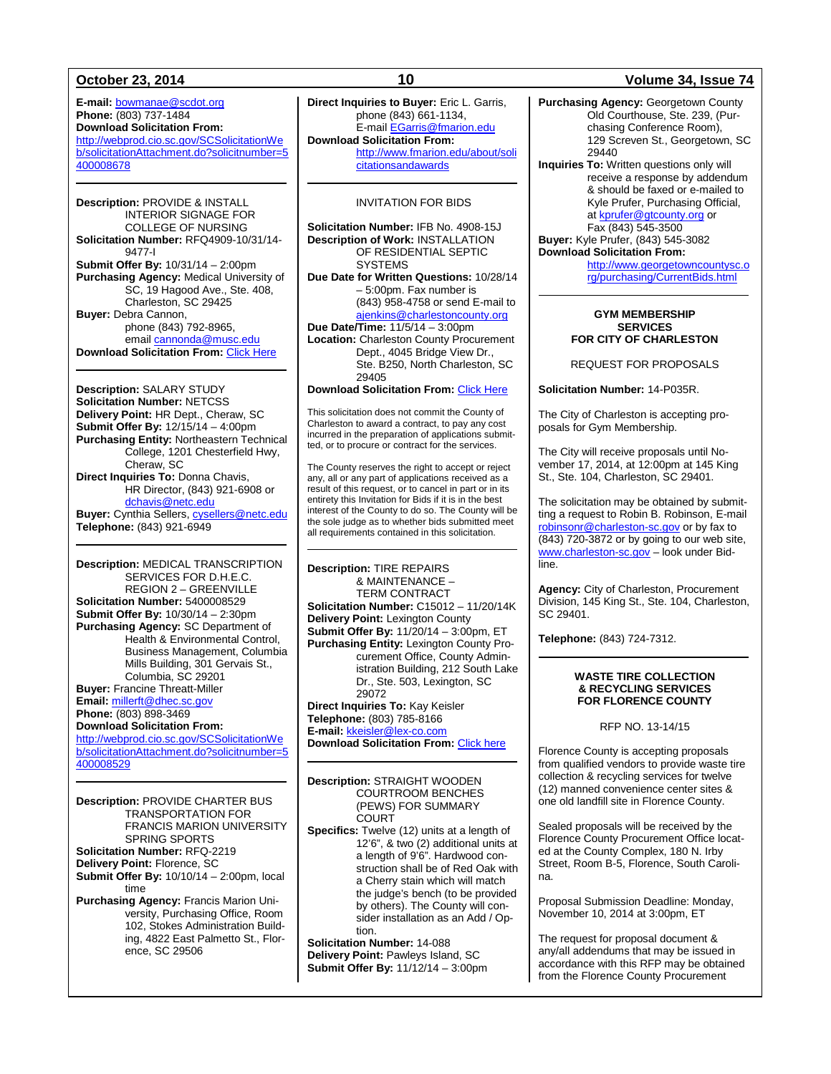**E-mail:** [bowmanae@scdot.org](mailto:bowmanae@scdot.org) **Phone:** (803) 737-1484 **Download Solicitation From:** [http://webprod.cio.sc.gov/SCSolicitationWe](http://webprod.cio.sc.gov/SCSolicitationWeb/solicitationAttachment.do?solicitnumber=5400008678) [b/solicitationAttachment.do?solicitnumber=5](http://webprod.cio.sc.gov/SCSolicitationWeb/solicitationAttachment.do?solicitnumber=5400008678) [400008678](http://webprod.cio.sc.gov/SCSolicitationWeb/solicitationAttachment.do?solicitnumber=5400008678)

**Description:** PROVIDE & INSTALL INTERIOR SIGNAGE FOR COLLEGE OF NURSING **Solicitation Number:** RFQ4909-10/31/14- 9477-I **Submit Offer By:** 10/31/14 – 2:00pm **Purchasing Agency:** Medical University of SC, 19 Hagood Ave., Ste. 408, Charleston, SC 29425 **Buyer:** Debra Cannon, phone (843) 792-8965, emai[l cannonda@musc.edu](mailto:cannonda@musc.edu) **Download Solicitation From:** [Click Here](http://academicdepartments.musc.edu/vpfa/finance/purchasingap/solicit-awards/bids.htm)

**Description:** SALARY STUDY **Solicitation Number:** NETCSS **Delivery Point:** HR Dept., Cheraw, SC **Submit Offer By:** 12/15/14 – 4:00pm **Purchasing Entity:** Northeastern Technical College, 1201 Chesterfield Hwy, Cheraw, SC **Direct Inquiries To:** Donna Chavis, HR Director, (843) 921-6908 or [dchavis@netc.edu](mailto:dchavis@netc.edu) **Buyer:** Cynthia Sellers, [cysellers@netc.edu](mailto:cysellers@netc.edu) **Telephone:** (843) 921-6949

**Description:** MEDICAL TRANSCRIPTION SERVICES FOR D.H.E.C. REGION 2 – GREENVILLE **Solicitation Number:** 5400008529 **Submit Offer By:** 10/30/14 – 2:30pm **Purchasing Agency:** SC Department of Health & Environmental Control, Business Management, Columbia Mills Building, 301 Gervais St., Columbia, SC 29201 **Buyer:** Francine Threatt-Miller **Email:** [millerft@dhec.sc.gov](mailto:millerft@dhec.sc.gov) **Phone:** (803) 898-3469 **Download Solicitation From:** [http://webprod.cio.sc.gov/SCSolicitationWe](http://webprod.cio.sc.gov/SCSolicitationWeb/solicitationAttachment.do?solicitnumber=5400008529) [b/solicitationAttachment.do?solicitnumber=5](http://webprod.cio.sc.gov/SCSolicitationWeb/solicitationAttachment.do?solicitnumber=5400008529) [400008529](http://webprod.cio.sc.gov/SCSolicitationWeb/solicitationAttachment.do?solicitnumber=5400008529)

**Description:** PROVIDE CHARTER BUS TRANSPORTATION FOR FRANCIS MARION UNIVERSITY SPRING SPORTS **Solicitation Number:** RFQ-2219 **Delivery Point:** Florence, SC **Submit Offer By:** 10/10/14 – 2:00pm, local time **Purchasing Agency:** Francis Marion University, Purchasing Office, Room 102, Stokes Administration Building, 4822 East Palmetto St., Florence, SC 29506

**Direct Inquiries to Buyer:** Eric L. Garris, phone (843) 661-1134, E-mai[l EGarris@fmarion.edu](mailto:EGarris@fmarion.edu) **Download Solicitation From:** [http://www.fmarion.edu/about/soli](http://www.fmarion.edu/about/solicitationsandawards)

[citationsandawards](http://www.fmarion.edu/about/solicitationsandawards)

### INVITATION FOR BIDS

**Solicitation Number:** IFB No. 4908-15J **Description of Work:** INSTALLATION OF RESIDENTIAL SEPTIC **SYSTEMS Due Date for Written Questions:** 10/28/14 – 5:00pm. Fax number is (843) 958-4758 or send E-mail to [ajenkins@charlestoncounty.org](mailto:ajenkins@charlestoncounty.org) **Due Date/Time:** 11/5/14 – 3:00pm **Location:** Charleston County Procurement Dept., 4045 Bridge View Dr., Ste. B250, North Charleston, SC 29405 **Download Solicitation From:** [Click Here](http://www.charlestoncounty.org/departments/procurement/current-bids.php) This solicitation does not commit the County of

Charleston to award a contract, to pay any cost incurred in the preparation of applications submitted, or to procure or contract for the services.

The County reserves the right to accept or reject any, all or any part of applications received as a result of this request, or to cancel in part or in its entirety this Invitation for Bids if it is in the best interest of the County to do so. The County will be the sole judge as to whether bids submitted meet all requirements contained in this solicitation.

**Description:** TIRE REPAIRS & MAINTENANCE – TERM CONTRACT **Solicitation Number:** C15012 – 11/20/14K **Delivery Point:** Lexington County **Submit Offer By:** 11/20/14 – 3:00pm, ET **Purchasing Entity:** Lexington County Procurement Office, County Administration Building, 212 South Lake Dr., Ste. 503, Lexington, SC 29072 **Direct Inquiries To:** Kay Keisler

**Telephone:** (803) 785-8166 **E-mail:** [kkeisler@lex-co.com](mailto:kkeisler@lex-co.com)

**Download Solicitation From:** [Click here](http://www.lex-co.sc.gov/departments/DeptIQ/procurement/Pages/BidOpportunities.aspx)

**Description:** STRAIGHT WOODEN COURTROOM BENCHES (PEWS) FOR SUMMARY COURT

**Specifics:** Twelve (12) units at a length of 12'6", & two (2) additional units at a length of 9'6". Hardwood construction shall be of Red Oak with a Cherry stain which will match the judge's bench (to be provided by others). The County will consider installation as an Add / Option.

**Solicitation Number:** 14-088 **Delivery Point:** Pawleys Island, SC **Submit Offer By:** 11/12/14 – 3:00pm

### **October 23, 2014 10 Volume 34, Issue 74**

**Purchasing Agency:** Georgetown County Old Courthouse, Ste. 239, (Purchasing Conference Room), 129 Screven St., Georgetown, SC 29440

**Inquiries To:** Written questions only will receive a response by addendum & should be faxed or e-mailed to Kyle Prufer, Purchasing Official, a[t kprufer@gtcounty.org](mailto:kprufer@gtcounty.org) or Fax (843) 545-3500 **Buyer:** Kyle Prufer, (843) 545-3082 **Download Solicitation From:** 

> [http://www.georgetowncountysc.o](http://www.georgetowncountysc.org/purchasing/CurrentBids.html) [rg/purchasing/CurrentBids.html](http://www.georgetowncountysc.org/purchasing/CurrentBids.html)

### **GYM MEMBERSHIP SERVICES FOR CITY OF CHARLESTON**

REQUEST FOR PROPOSALS

**Solicitation Number:** 14-P035R.

The City of Charleston is accepting proposals for Gym Membership.

The City will receive proposals until November 17, 2014, at 12:00pm at 145 King St., Ste. 104, Charleston, SC 29401.

The solicitation may be obtained by submitting a request to Robin B. Robinson, E-mail [robinsonr@charleston-sc.gov](mailto:robinsonr@charleston-sc.gov) or by fax to (843) 720-3872 or by going to our web site, [www.charleston-sc.gov](http://www.charleston-sc.gov/) – look under Bidline.

**Agency:** City of Charleston, Procurement Division, 145 King St., Ste. 104, Charleston, SC 29401.

**Telephone:** (843) 724-7312.

### **WASTE TIRE COLLECTION & RECYCLING SERVICES FOR FLORENCE COUNTY**

RFP NO. 13-14/15

Florence County is accepting proposals from qualified vendors to provide waste tire collection & recycling services for twelve (12) manned convenience center sites & one old landfill site in Florence County.

Sealed proposals will be received by the Florence County Procurement Office located at the County Complex, 180 N. Irby Street, Room B-5, Florence, South Carolina.

Proposal Submission Deadline: Monday, November 10, 2014 at 3:00pm, ET

The request for proposal document & any/all addendums that may be issued in accordance with this RFP may be obtained from the Florence County Procurement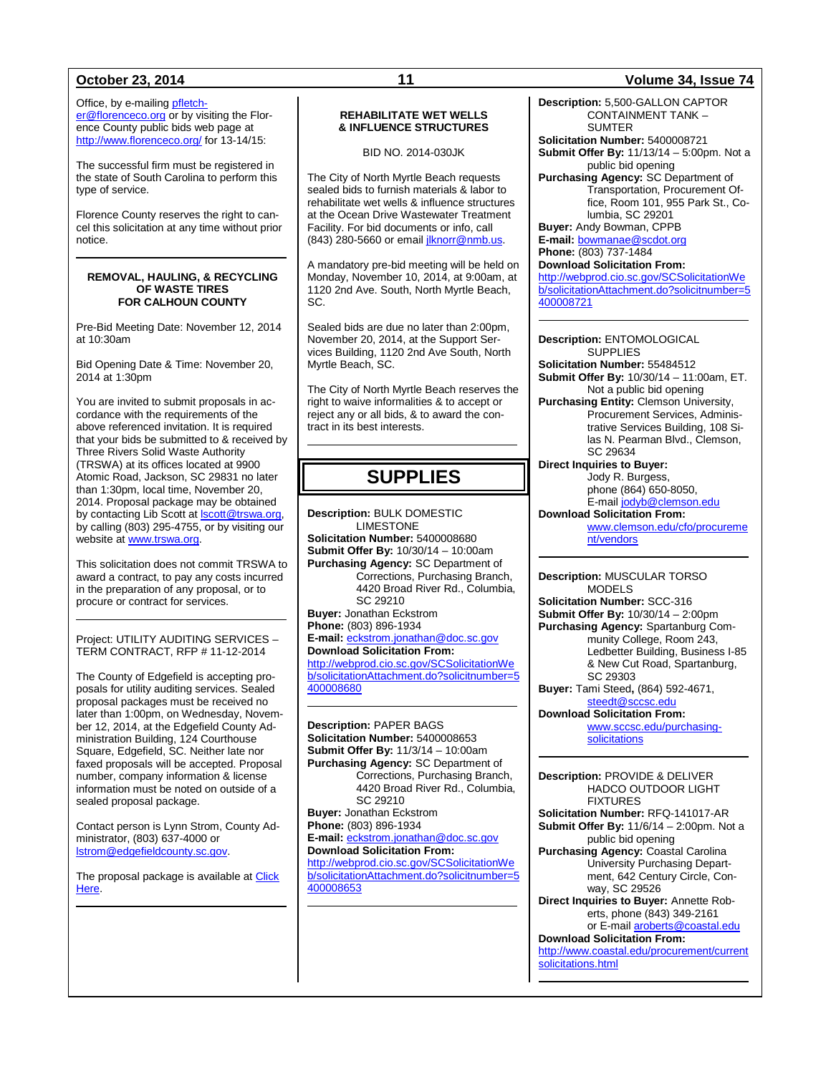Office, by e-mailing [pfletch](mailto:pfletcher@florenceco.org)[er@florenceco.org](mailto:pfletcher@florenceco.org) or by visiting the Florence County public bids web page at <http://www.florenceco.org/> for 13-14/15:

The successful firm must be registered in the state of South Carolina to perform this type of service.

Florence County reserves the right to cancel this solicitation at any time without prior notice.

### **REMOVAL, HAULING, & RECYCLING OF WASTE TIRES FOR CALHOUN COUNTY**

Pre-Bid Meeting Date: November 12, 2014 at 10:30am

Bid Opening Date & Time: November 20, 2014 at 1:30pm

You are invited to submit proposals in accordance with the requirements of the above referenced invitation. It is required that your bids be submitted to & received by Three Rivers Solid Waste Authority (TRSWA) at its offices located at 9900 Atomic Road, Jackson, SC 29831 no later than 1:30pm, local time, November 20, 2014. Proposal package may be obtained by contacting Lib Scott at **Scott@trswa.org**, by calling (803) 295-4755, or by visiting our website a[t www.trswa.org.](http://www.trswa.org/)

This solicitation does not commit TRSWA to award a contract, to pay any costs incurred in the preparation of any proposal, or to procure or contract for services.

Project: UTILITY AUDITING SERVICES – TERM CONTRACT, RFP # 11-12-2014

The County of Edgefield is accepting proposals for utility auditing services. Sealed proposal packages must be received no later than 1:00pm, on Wednesday, November 12, 2014, at the Edgefield County Administration Building, 124 Courthouse Square, Edgefield, SC. Neither late nor faxed proposals will be accepted. Proposal number, company information & license information must be noted on outside of a sealed proposal package.

Contact person is Lynn Strom, County Administrator, (803) 637-4000 or [lstrom@edgefieldcounty.sc.gov.](mailto:lstrom@edgefieldcounty.sc.gov)

The proposal package is available at Click [Here.](http://www.edgefieldcounty.sc.gov/Pages/RFPs%20and%20Bids.aspx)

### **REHABILITATE WET WELLS & INFLUENCE STRUCTURES**

BID NO. 2014-030JK

The City of North Myrtle Beach requests sealed bids to furnish materials & labor to rehabilitate wet wells & influence structures at the Ocean Drive Wastewater Treatment Facility. For bid documents or info, call (843) 280-5660 or emai[l jlknorr@nmb.us.](mailto:jlknorr@nmb.us)

A mandatory pre-bid meeting will be held on Monday, November 10, 2014, at 9:00am, at 1120 2nd Ave. South, North Myrtle Beach, SC.

Sealed bids are due no later than 2:00pm, November 20, 2014, at the Support Services Building, 1120 2nd Ave South, North Myrtle Beach, SC.

The City of North Myrtle Beach reserves the right to waive informalities & to accept or reject any or all bids, & to award the contract in its best interests.

## **SUPPLIES**

**Description:** BULK DOMESTIC LIMESTONE **Solicitation Number:** 5400008680 **Submit Offer By:** 10/30/14 – 10:00am **Purchasing Agency:** SC Department of Corrections, Purchasing Branch, 4420 Broad River Rd., Columbia, SC 29210 **Buyer:** Jonathan Eckstrom **Phone:** (803) 896-1934 **E-mail:** [eckstrom.jonathan@doc.sc.gov](mailto:eckstrom.jonathan@doc.sc.gov) **Download Solicitation From:** [http://webprod.cio.sc.gov/SCSolicitationWe](http://webprod.cio.sc.gov/SCSolicitationWeb/solicitationAttachment.do?solicitnumber=5400008680) [b/solicitationAttachment.do?solicitnumber=5](http://webprod.cio.sc.gov/SCSolicitationWeb/solicitationAttachment.do?solicitnumber=5400008680) [400008680](http://webprod.cio.sc.gov/SCSolicitationWeb/solicitationAttachment.do?solicitnumber=5400008680)

**Description:** PAPER BAGS **Solicitation Number:** 5400008653 **Submit Offer By:** 11/3/14 – 10:00am **Purchasing Agency:** SC Department of Corrections, Purchasing Branch, 4420 Broad River Rd., Columbia, SC 29210 **Buyer:** Jonathan Eckstrom **Phone:** (803) 896-1934 **E-mail:** [eckstrom.jonathan@doc.sc.gov](mailto:eckstrom.jonathan@doc.sc.gov) **Download Solicitation From:** [http://webprod.cio.sc.gov/SCSolicitationWe](http://webprod.cio.sc.gov/SCSolicitationWeb/solicitationAttachment.do?solicitnumber=5400008653) [b/solicitationAttachment.do?solicitnumber=5](http://webprod.cio.sc.gov/SCSolicitationWeb/solicitationAttachment.do?solicitnumber=5400008653) [400008653](http://webprod.cio.sc.gov/SCSolicitationWeb/solicitationAttachment.do?solicitnumber=5400008653)

### **October 23, 2014 11 Volume 34, Issue 74**

**Description:** 5,500-GALLON CAPTOR CONTAINMENT TANK – SUMTER **Solicitation Number:** 5400008721

**Submit Offer By:** 11/13/14 – 5:00pm. Not a public bid opening

**Purchasing Agency:** SC Department of Transportation, Procurement Office, Room 101, 955 Park St., Columbia, SC 29201

**Buyer:** Andy Bowman, CPPB **E-mail:** [bowmanae@scdot.org](mailto:bowmanae@scdot.org)

**Phone:** (803) 737-1484 **Download Solicitation From:**

[http://webprod.cio.sc.gov/SCSolicitationWe](http://webprod.cio.sc.gov/SCSolicitationWeb/solicitationAttachment.do?solicitnumber=5400008721) [b/solicitationAttachment.do?solicitnumber=5](http://webprod.cio.sc.gov/SCSolicitationWeb/solicitationAttachment.do?solicitnumber=5400008721) [400008721](http://webprod.cio.sc.gov/SCSolicitationWeb/solicitationAttachment.do?solicitnumber=5400008721)

**Description:** ENTOMOLOGICAL **SUPPLIES Solicitation Number:** 55484512 **Submit Offer By:** 10/30/14 – 11:00am, ET. Not a public bid opening **Purchasing Entity:** Clemson University, Procurement Services, Administrative Services Building, 108 Silas N. Pearman Blvd., Clemson, SC 29634 **Direct Inquiries to Buyer:** Jody R. Burgess, phone (864) 650-8050, E-mai[l jodyb@clemson.edu](mailto:jodyb@clemson.edu) **Download Solicitation From:**

[www.clemson.edu/cfo/procureme](http://www.clemson.edu/cfo/procurement/vendors) [nt/vendors](http://www.clemson.edu/cfo/procurement/vendors)

**Description:** MUSCULAR TORSO MODELS **Solicitation Number:** SCC-316 **Submit Offer By:** 10/30/14 – 2:00pm **Purchasing Agency:** Spartanburg Community College, Room 243, Ledbetter Building, Business I-85 & New Cut Road, Spartanburg, SC 29303 **Buyer:** Tami Steed**,** (864) 592-4671, [steedt@sccsc.edu](mailto:steedt@sccsc.edu)

**Download Solicitation From:** [www.sccsc.edu/purchasing-](http://www.sccsc.edu/purchasing-solicitations)

[solicitations](http://www.sccsc.edu/purchasing-solicitations)

**Description:** PROVIDE & DELIVER HADCO OUTDOOR LIGHT FIXTURES **Solicitation Number:** RFQ-141017-AR **Submit Offer By:** 11/6/14 – 2:00pm. Not a public bid opening **Purchasing Agency:** Coastal Carolina University Purchasing Department, 642 Century Circle, Conway, SC 29526 **Direct Inquiries to Buyer:** Annette Roberts, phone (843) 349-2161 or E-mail [aroberts@coastal.edu](mailto:aroberts@coastal.edu) **Download Solicitation From:** [http://www.coastal.edu/procurement/current](http://www.coastal.edu/procurement/currentsolicitations.html) [solicitations.html](http://www.coastal.edu/procurement/currentsolicitations.html)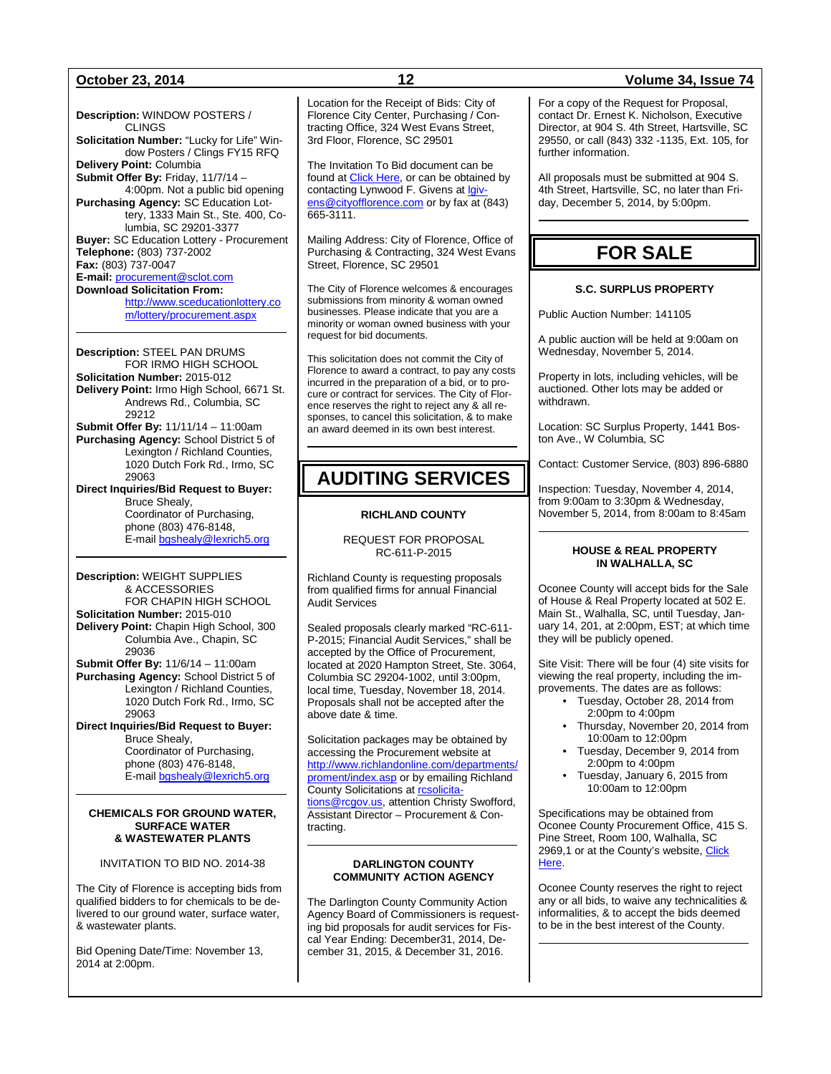**Description:** WINDOW POSTERS / CLINGS **Solicitation Number:** "Lucky for Life" Window Posters / Clings FY15 RFQ **Delivery Point:** Columbia **Submit Offer By:** Friday, 11/7/14 – 4:00pm. Not a public bid opening **Purchasing Agency:** SC Education Lottery, 1333 Main St., Ste. 400, Columbia, SC 29201-3377 **Buyer:** SC Education Lottery - Procurement **Telephone:** (803) 737-2002 **Fax:** (803) 737-0047 **E-mail:** [procurement@sclot.com](mailto:procurement@sclot.com) **Download Solicitation From:** [http://www.sceducationlottery.co](http://www.sceducationlottery.com/lottery/procurement.aspx) [m/lottery/procurement.aspx](http://www.sceducationlottery.com/lottery/procurement.aspx) **Description:** STEEL PAN DRUMS

FOR IRMO HIGH SCHOOL **Solicitation Number:** 2015-012 **Delivery Point:** Irmo High School, 6671 St. Andrews Rd., Columbia, SC 29212 **Submit Offer By:** 11/11/14 – 11:00am **Purchasing Agency:** School District 5 of

Lexington / Richland Counties, 1020 Dutch Fork Rd., Irmo, SC 29063 **Direct Inquiries/Bid Request to Buyer:**

Bruce Shealy, Coordinator of Purchasing, phone (803) 476-8148, E-mail [bgshealy@lexrich5.org](mailto:bgshealy@lexrich5.org)

**Description:** WEIGHT SUPPLIES & ACCESSORIES FOR CHAPIN HIGH SCHOOL **Solicitation Number:** 2015-010 **Delivery Point:** Chapin High School, 300 Columbia Ave., Chapin, SC 29036 **Submit Offer By:** 11/6/14 – 11:00am

**Purchasing Agency:** School District 5 of Lexington / Richland Counties, 1020 Dutch Fork Rd., Irmo, SC 29063

**Direct Inquiries/Bid Request to Buyer:** Bruce Shealy, Coordinator of Purchasing, phone (803) 476-8148, E-mail [bgshealy@lexrich5.org](mailto:bgshealy@lexrich5.org)

### **CHEMICALS FOR GROUND WATER, SURFACE WATER & WASTEWATER PLANTS**

### INVITATION TO BID NO. 2014-38

The City of Florence is accepting bids from qualified bidders to for chemicals to be delivered to our ground water, surface water, & wastewater plants.

Bid Opening Date/Time: November 13, 2014 at 2:00pm.

Location for the Receipt of Bids: City of Florence City Center, Purchasing / Contracting Office, 324 West Evans Street, 3rd Floor, Florence, SC 29501

The Invitation To Bid document can be found at **Click Here**, or can be obtained by contacting Lynwood F. Givens at [lgiv](mailto:lgivens@cityofflorence.com)[ens@cityofflorence.com](mailto:lgivens@cityofflorence.com) or by fax at (843) 665-3111.

Mailing Address: City of Florence, Office of Purchasing & Contracting, 324 West Evans Street, Florence, SC 29501

The City of Florence welcomes & encourages submissions from minority & woman owned businesses. Please indicate that you are a minority or woman owned business with your request for bid documents.

This solicitation does not commit the City of Florence to award a contract, to pay any costs incurred in the preparation of a bid, or to procure or contract for services. The City of Florence reserves the right to reject any & all responses, to cancel this solicitation, & to make an award deemed in its own best interest.

## **AUDITING SERVICES**

### **RICHLAND COUNTY**

REQUEST FOR PROPOSAL RC-611-P-2015

Richland County is requesting proposals from qualified firms for annual Financial Audit Services

Sealed proposals clearly marked "RC-611- P-2015; Financial Audit Services," shall be accepted by the Office of Procurement, located at 2020 Hampton Street, Ste. 3064, Columbia SC 29204-1002, until 3:00pm, local time, Tuesday, November 18, 2014. Proposals shall not be accepted after the above date & time.

Solicitation packages may be obtained by accessing the Procurement website at [http://www.richlandonline.com/departments/](http://www.richlandonline.com/departments/proment/index.asp) [proment/index.asp](http://www.richlandonline.com/departments/proment/index.asp) or by emailing Richland County Solicitations at resolicita[tions@rcgov.us,](mailto:rcsolicitations@rcgov.us) attention Christy Swofford, Assistant Director – Procurement & Contracting.

### **DARLINGTON COUNTY COMMUNITY ACTION AGENCY**

The Darlington County Community Action Agency Board of Commissioners is requesting bid proposals for audit services for Fiscal Year Ending: December31, 2014, December 31, 2015, & December 31, 2016.

### **October 23, 2014 12 Volume 34, Issue 74**

For a copy of the Request for Proposal, contact Dr. Ernest K. Nicholson, Executive Director, at 904 S. 4th Street, Hartsville, SC 29550, or call (843) 332 -1135, Ext. 105, for further information.

All proposals must be submitted at 904 S. 4th Street, Hartsville, SC, no later than Friday, December 5, 2014, by 5:00pm.

## **FOR SALE**

### **S.C. SURPLUS PROPERTY**

Public Auction Number: 141105

A public auction will be held at 9:00am on Wednesday, November 5, 2014.

Property in lots, including vehicles, will be auctioned. Other lots may be added or withdrawn.

Location: SC Surplus Property, 1441 Boston Ave., W Columbia, SC

Contact: Customer Service, (803) 896-6880

Inspection: Tuesday, November 4, 2014, from 9:00am to 3:30pm & Wednesday, November 5, 2014, from 8:00am to 8:45am

### **HOUSE & REAL PROPERTY IN WALHALLA, SC**

Oconee County will accept bids for the Sale of House & Real Property located at 502 E. Main St., Walhalla, SC, until Tuesday, January 14, 201, at 2:00pm, EST; at which time they will be publicly opened.

Site Visit: There will be four (4) site visits for viewing the real property, including the improvements. The dates are as follows:

- Tuesday, October 28, 2014 from 2:00pm to 4:00pm
- Thursday, November 20, 2014 from 10:00am to 12:00pm
- Tuesday, December 9, 2014 from 2:00pm to 4:00pm
- Tuesday, January 6, 2015 from 10:00am to 12:00pm

Specifications may be obtained from Oconee County Procurement Office, 415 S. Pine Street, Room 100, Walhalla, SC 2969,1 or at the County's website, Click [Here.](http://www.oconeesc.com/Departments/KZ/Procurement.aspx)

Oconee County reserves the right to reject any or all bids, to waive any technicalities & informalities, & to accept the bids deemed to be in the best interest of the County.